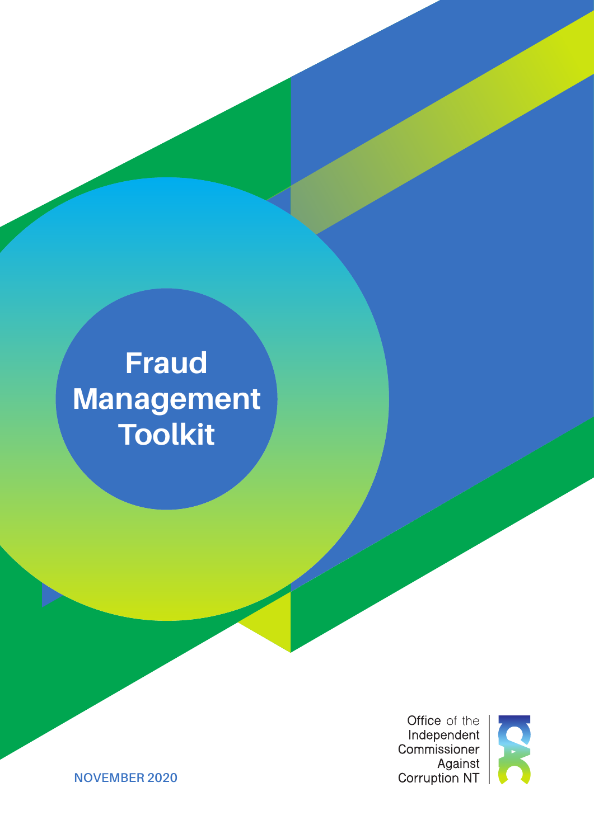# **Fraud Management Toolkit**

Office of the Independent Commissioner Against<br>Against<br>Corruption NT



**NOVEMBER 2020**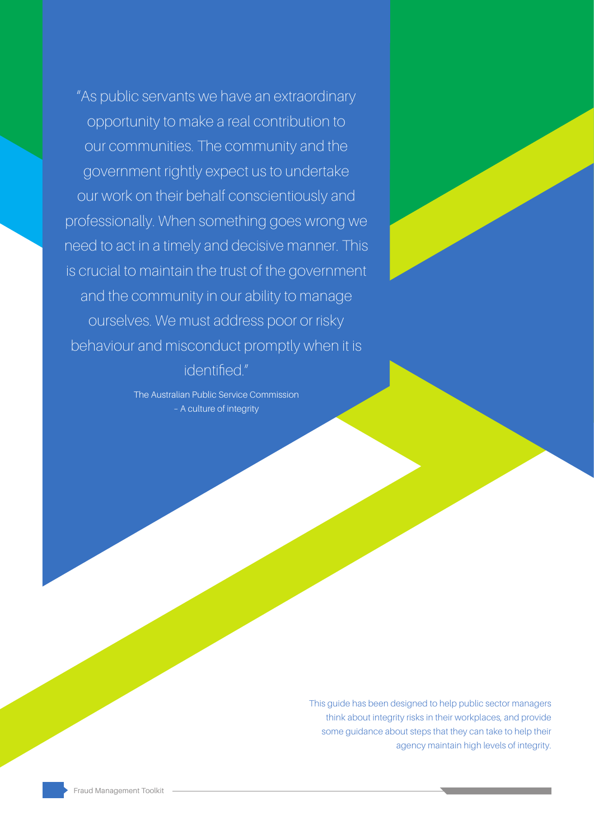"As public servants we have an extraordinary opportunity to make a real contribution to our communities. The community and the government rightly expect us to undertake our work on their behalf conscientiously and professionally. When something goes wrong we need to act in a timely and decisive manner. This is crucial to maintain the trust of the government and the community in our ability to manage ourselves. We must address poor or risky behaviour and misconduct promptly when it is

identified."

The Australian Public Service Commission – A culture of integrity

> This guide has been designed to help public sector managers think about integrity risks in their workplaces, and provide some guidance about steps that they can take to help their agency maintain high levels of integrity.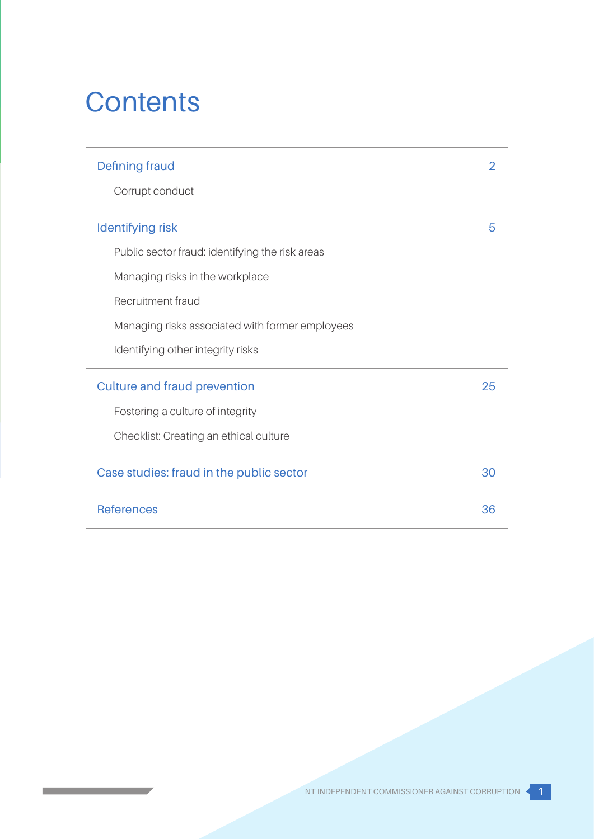# **Contents**

<u>and the state of the state of the state of the state of the state of the state of the state of the state of the state of the state of the state of the state of the state of the state of the state of the state of the state</u>

| Defining fraud                                  |    |
|-------------------------------------------------|----|
| Corrupt conduct                                 |    |
| <b>Identifying risk</b>                         | 5  |
| Public sector fraud: identifying the risk areas |    |
| Managing risks in the workplace                 |    |
| Recruitment fraud                               |    |
| Managing risks associated with former employees |    |
| Identifying other integrity risks               |    |
| <b>Culture and fraud prevention</b>             | 25 |
| Fostering a culture of integrity                |    |
| Checklist: Creating an ethical culture          |    |
| Case studies: fraud in the public sector        | 30 |
| <b>References</b>                               | 36 |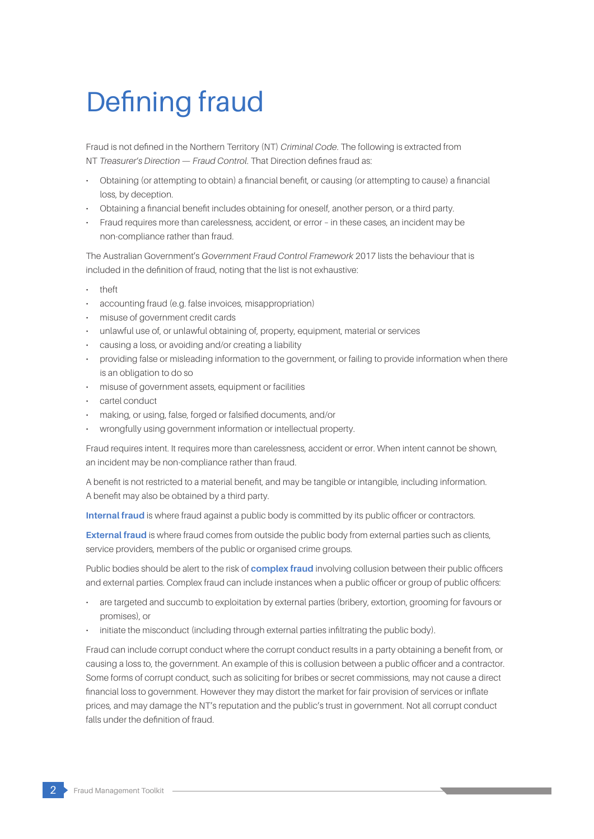# Defining fraud

Fraud is not defined in the Northern Territory (NT) *Criminal Code*. The following is extracted from NT *Treasurer's Direction — Fraud Control*. That Direction defines fraud as:

- Obtaining (or attempting to obtain) a financial benefit, or causing (or attempting to cause) a financial loss, by deception.
- Obtaining a financial benefit includes obtaining for oneself, another person, or a third party.
- Fraud requires more than carelessness, accident, or error in these cases, an incident may be non-compliance rather than fraud.

The Australian Government's *Government Fraud Control Framework* 2017 lists the behaviour that is included in the definition of fraud, noting that the list is not exhaustive:

- theft
- accounting fraud (e.g. false invoices, misappropriation)
- misuse of government credit cards
- unlawful use of, or unlawful obtaining of, property, equipment, material or services
- causing a loss, or avoiding and/or creating a liability
- providing false or misleading information to the government, or failing to provide information when there is an obligation to do so
- misuse of government assets, equipment or facilities
- cartel conduct
- making, or using, false, forged or falsified documents, and/or
- wrongfully using government information or intellectual property.

Fraud requires intent. It requires more than carelessness, accident or error. When intent cannot be shown, an incident may be non-compliance rather than fraud.

A benefit is not restricted to a material benefit, and may be tangible or intangible, including information. A benefit may also be obtained by a third party.

**Internal fraud** is where fraud against a public body is committed by its public officer or contractors.

**External fraud** is where fraud comes from outside the public body from external parties such as clients, service providers, members of the public or organised crime groups.

Public bodies should be alert to the risk of **complex fraud** involving collusion between their public officers and external parties. Complex fraud can include instances when a public officer or group of public officers:

- are targeted and succumb to exploitation by external parties (bribery, extortion, grooming for favours or promises), or
- initiate the misconduct (including through external parties infiltrating the public body).

Fraud can include corrupt conduct where the corrupt conduct results in a party obtaining a benefit from, or causing a loss to, the government. An example of this is collusion between a public officer and a contractor. Some forms of corrupt conduct, such as soliciting for bribes or secret commissions, may not cause a direct financial loss to government. However they may distort the market for fair provision of services or inflate prices, and may damage the NT's reputation and the public's trust in government. Not all corrupt conduct falls under the definition of fraud.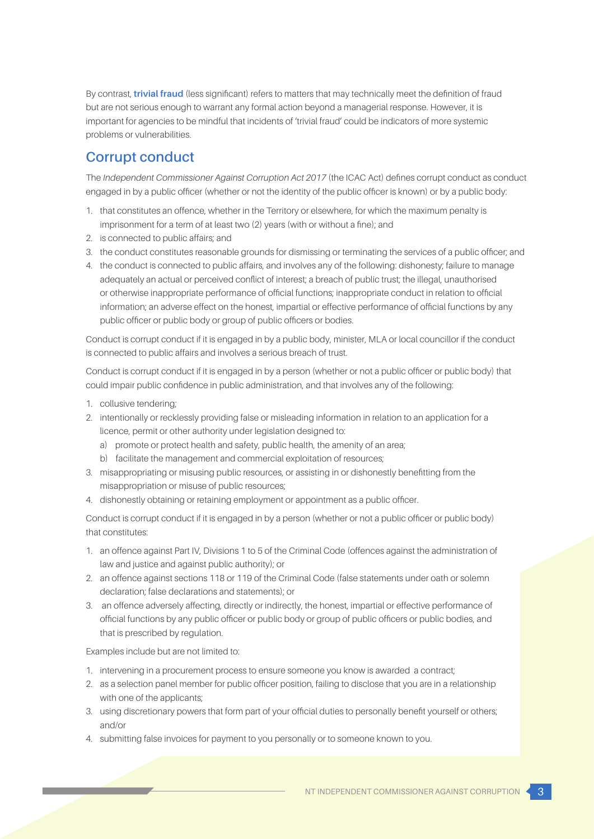By contrast, **trivial fraud** (less significant) refers to matters that may technically meet the definition of fraud but are not serious enough to warrant any formal action beyond a managerial response. However, it is important for agencies to be mindful that incidents of 'trivial fraud' could be indicators of more systemic problems or vulnerabilities.

## **Corrupt conduct**

The *Independent Commissioner Against Corruption Act 2017* (the ICAC Act) defines corrupt conduct as conduct engaged in by a public officer (whether or not the identity of the public officer is known) or by a public body:

- 1. that constitutes an offence, whether in the Territory or elsewhere, for which the maximum penalty is imprisonment for a term of at least two (2) years (with or without a fine); and
- 2. is connected to public affairs; and
- 3. the conduct constitutes reasonable grounds for dismissing or terminating the services of a public officer; and
- 4. the conduct is connected to public affairs, and involves any of the following: dishonesty; failure to manage adequately an actual or perceived conflict of interest; a breach of public trust; the illegal, unauthorised or otherwise inappropriate performance of official functions; inappropriate conduct in relation to official information; an adverse effect on the honest, impartial or effective performance of official functions by any public officer or public body or group of public officers or bodies.

Conduct is corrupt conduct if it is engaged in by a public body, minister, MLA or local councillor if the conduct is connected to public affairs and involves a serious breach of trust.

Conduct is corrupt conduct if it is engaged in by a person (whether or not a public officer or public body) that could impair public confidence in public administration, and that involves any of the following:

- 1. collusive tendering;
- 2. intentionally or recklessly providing false or misleading information in relation to an application for a licence, permit or other authority under legislation designed to:
	- a) promote or protect health and safety, public health, the amenity of an area;
	- b) facilitate the management and commercial exploitation of resources;
- 3. misappropriating or misusing public resources, or assisting in or dishonestly benefitting from the misappropriation or misuse of public resources;
- 4. dishonestly obtaining or retaining employment or appointment as a public officer.

Conduct is corrupt conduct if it is engaged in by a person (whether or not a public officer or public body) that constitutes:

- 1. an offence against Part IV, Divisions 1 to 5 of the Criminal Code (offences against the administration of law and justice and against public authority); or
- 2. an offence against sections 118 or 119 of the Criminal Code (false statements under oath or solemn declaration; false declarations and statements); or
- 3. an offence adversely affecting, directly or indirectly, the honest, impartial or effective performance of official functions by any public officer or public body or group of public officers or public bodies, and that is prescribed by regulation.

Examples include but are not limited to:

- 1. intervening in a procurement process to ensure someone you know is awarded a contract;
- 2. as a selection panel member for public officer position, failing to disclose that you are in a relationship with one of the applicants;
- 3. using discretionary powers that form part of your official duties to personally benefit yourself or others; and/or
- 4. submitting false invoices for payment to you personally or to someone known to you.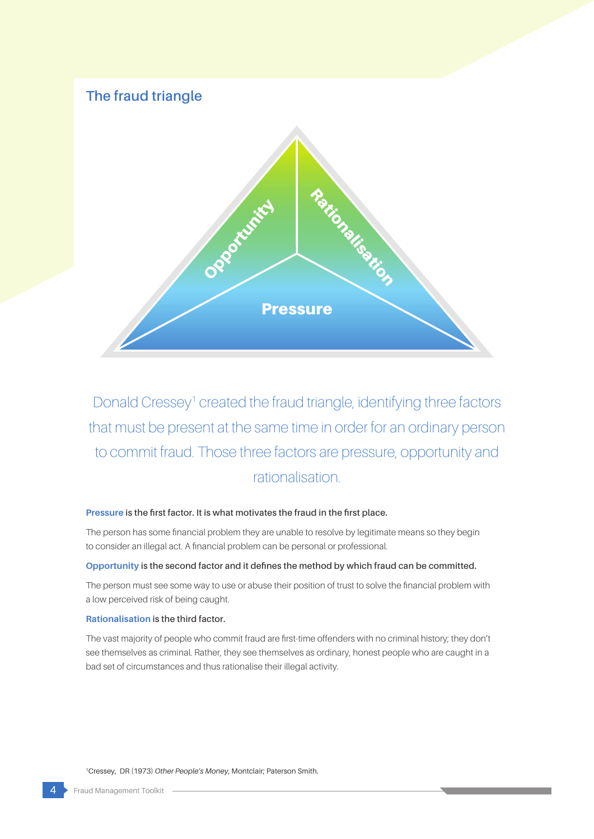## **The fraud triangle**



Donald Cressey<sup>1</sup> created the fraud triangle, identifying three factors that must be present at the same time in order for an ordinary person to commit fraud. Those three factors are pressure, opportunity and rationalisation.

#### **Pressure is the first factor. It is what motivates the fraud in the first place.**

The person has some financial problem they are unable to resolve by legitimate means so they begin to consider an illegal act. A financial problem can be personal or professional.

### **Opportunity is the second factor and it defines the method by which fraud can be committed.**

The person must see some way to use or abuse their position of trust to solve the financial problem with a low perceived risk of being caught.

#### **Rationalisation is the third factor.**

The vast majority of people who commit fraud are first-time offenders with no criminal history; they don't see themselves as criminal. Rather, they see themselves as ordinary, honest people who are caught in a bad set of circumstances and thus rationalise their illegal activity.

1Cressey, DR (1973) *Other People's Money*, Montclair; Paterson Smith.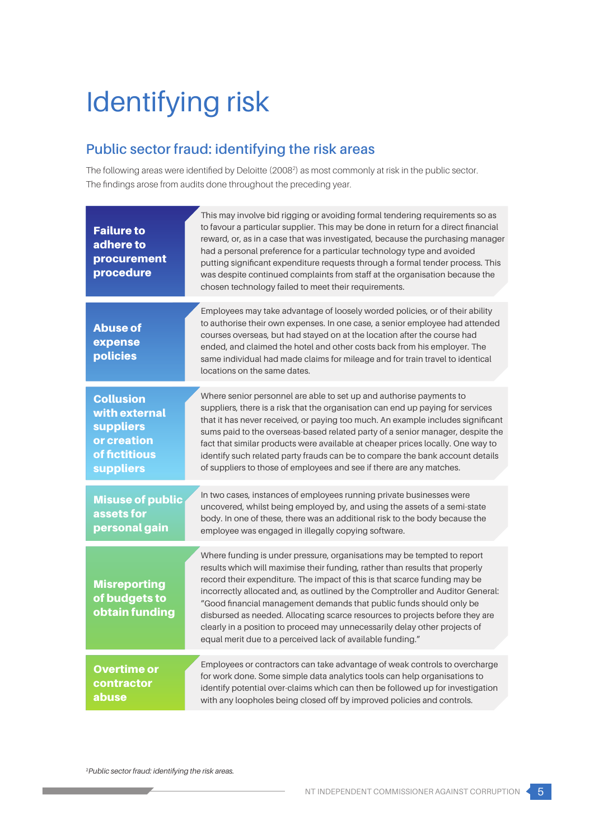# Identifying risk

# **Public sector fraud: identifying the risk areas**

The following areas were identified by Deloitte (20082 ) as most commonly at risk in the public sector. The findings arose from audits done throughout the preceding year.

| <b>Failure to</b><br>adhere to<br>procurement<br>procedure                                                | This may involve bid rigging or avoiding formal tendering requirements so as<br>to favour a particular supplier. This may be done in return for a direct financial<br>reward, or, as in a case that was investigated, because the purchasing manager<br>had a personal preference for a particular technology type and avoided<br>putting significant expenditure requests through a formal tender process. This<br>was despite continued complaints from staff at the organisation because the<br>chosen technology failed to meet their requirements.                                                                    |
|-----------------------------------------------------------------------------------------------------------|----------------------------------------------------------------------------------------------------------------------------------------------------------------------------------------------------------------------------------------------------------------------------------------------------------------------------------------------------------------------------------------------------------------------------------------------------------------------------------------------------------------------------------------------------------------------------------------------------------------------------|
| <b>Abuse of</b><br>expense<br>policies                                                                    | Employees may take advantage of loosely worded policies, or of their ability<br>to authorise their own expenses. In one case, a senior employee had attended<br>courses overseas, but had stayed on at the location after the course had<br>ended, and claimed the hotel and other costs back from his employer. The<br>same individual had made claims for mileage and for train travel to identical<br>locations on the same dates.                                                                                                                                                                                      |
| <b>Collusion</b><br>with external<br><b>suppliers</b><br>or creation<br>of fictitious<br><b>suppliers</b> | Where senior personnel are able to set up and authorise payments to<br>suppliers, there is a risk that the organisation can end up paying for services<br>that it has never received, or paying too much. An example includes significant<br>sums paid to the overseas-based related party of a senior manager, despite the<br>fact that similar products were available at cheaper prices locally. One way to<br>identify such related party frauds can be to compare the bank account details<br>of suppliers to those of employees and see if there are any matches.                                                    |
| <b>Misuse of public</b><br>assets for<br>personal gain                                                    | In two cases, instances of employees running private businesses were<br>uncovered, whilst being employed by, and using the assets of a semi-state<br>body. In one of these, there was an additional risk to the body because the<br>employee was engaged in illegally copying software.                                                                                                                                                                                                                                                                                                                                    |
| <b>Misreporting</b><br>of budgets to<br>obtain funding                                                    | Where funding is under pressure, organisations may be tempted to report<br>results which will maximise their funding, rather than results that properly<br>record their expenditure. The impact of this is that scarce funding may be<br>incorrectly allocated and, as outlined by the Comptroller and Auditor General:<br>"Good financial management demands that public funds should only be<br>disbursed as needed. Allocating scarce resources to projects before they are<br>clearly in a position to proceed may unnecessarily delay other projects of<br>equal merit due to a perceived lack of available funding." |
| <b>Overtime or</b><br>contractor<br>abuse                                                                 | Employees or contractors can take advantage of weak controls to overcharge<br>for work done. Some simple data analytics tools can help organisations to<br>identify potential over-claims which can then be followed up for investigation<br>with any loopholes being closed off by improved policies and controls.                                                                                                                                                                                                                                                                                                        |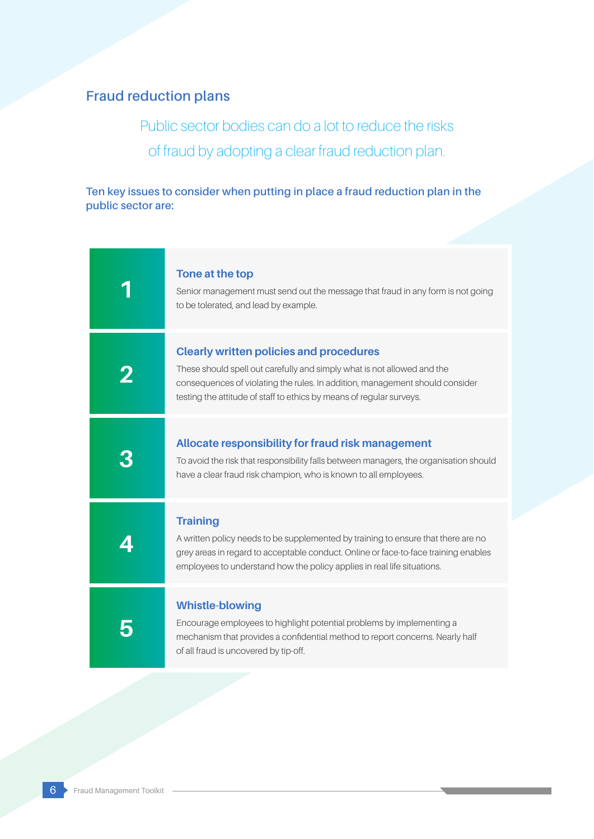# **Fraud reduction plans**

Public sector bodies can do a lot to reduce the risks of fraud by adopting a clear fraud reduction plan.

**Ten key issues to consider when putting in place a fraud reduction plan in the public sector are:**

| Tone at the top<br>Senior management must send out the message that fraud in any form is not going                                                                                                                                                                                |
|-----------------------------------------------------------------------------------------------------------------------------------------------------------------------------------------------------------------------------------------------------------------------------------|
| to be tolerated, and lead by example.                                                                                                                                                                                                                                             |
| <b>Clearly written policies and procedures</b><br>These should spell out carefully and simply what is not allowed and the<br>consequences of violating the rules. In addition, management should consider<br>testing the attitude of staff to ethics by means of regular surveys. |
| Allocate responsibility for fraud risk management<br>To avoid the risk that responsibility falls between managers, the organisation should<br>have a clear fraud risk champion, who is known to all employees.                                                                    |
| <b>Training</b><br>A written policy needs to be supplemented by training to ensure that there are no<br>grey areas in regard to acceptable conduct. Online or face-to-face training enables<br>employees to understand how the policy applies in real life situations.            |
| <b>Whistle-blowing</b><br>Encourage employees to highlight potential problems by implementing a<br>mechanism that provides a confidential method to report concerns. Nearly half<br>of all fraud is uncovered by tip-off.                                                         |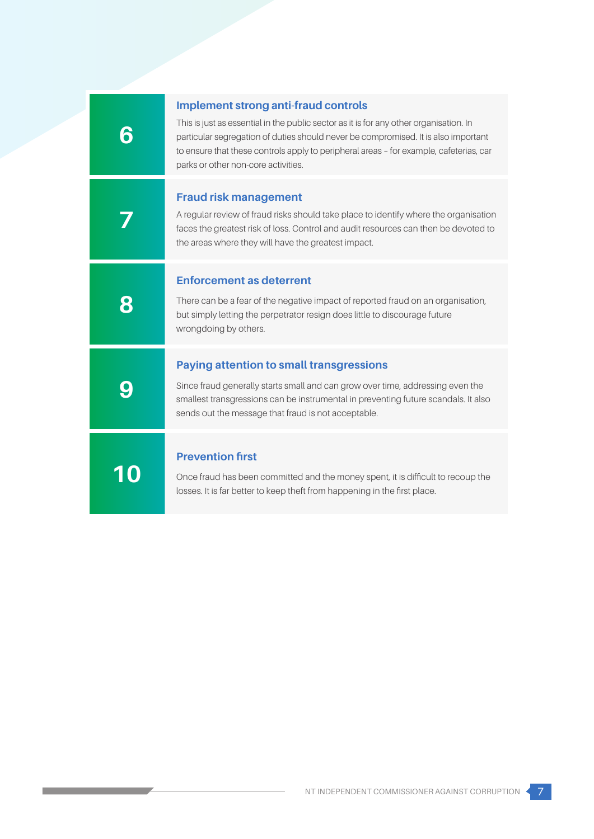| <b>Implement strong anti-fraud controls</b><br>This is just as essential in the public sector as it is for any other organisation. In<br>particular segregation of duties should never be compromised. It is also important<br>to ensure that these controls apply to peripheral areas - for example, cafeterias, car<br>parks or other non-core activities. |
|--------------------------------------------------------------------------------------------------------------------------------------------------------------------------------------------------------------------------------------------------------------------------------------------------------------------------------------------------------------|
| <b>Fraud risk management</b><br>A regular review of fraud risks should take place to identify where the organisation<br>faces the greatest risk of loss. Control and audit resources can then be devoted to<br>the areas where they will have the greatest impact.                                                                                           |
| <b>Enforcement as deterrent</b><br>There can be a fear of the negative impact of reported fraud on an organisation,<br>but simply letting the perpetrator resign does little to discourage future<br>wrongdoing by others.                                                                                                                                   |
| <b>Paying attention to small transgressions</b><br>Since fraud generally starts small and can grow over time, addressing even the<br>smallest transgressions can be instrumental in preventing future scandals. It also<br>sends out the message that fraud is not acceptable.                                                                               |
| <b>Prevention first</b><br>Once fraud has been committed and the money spent, it is difficult to recoup the<br>losses. It is far better to keep theft from happening in the first place.                                                                                                                                                                     |
|                                                                                                                                                                                                                                                                                                                                                              |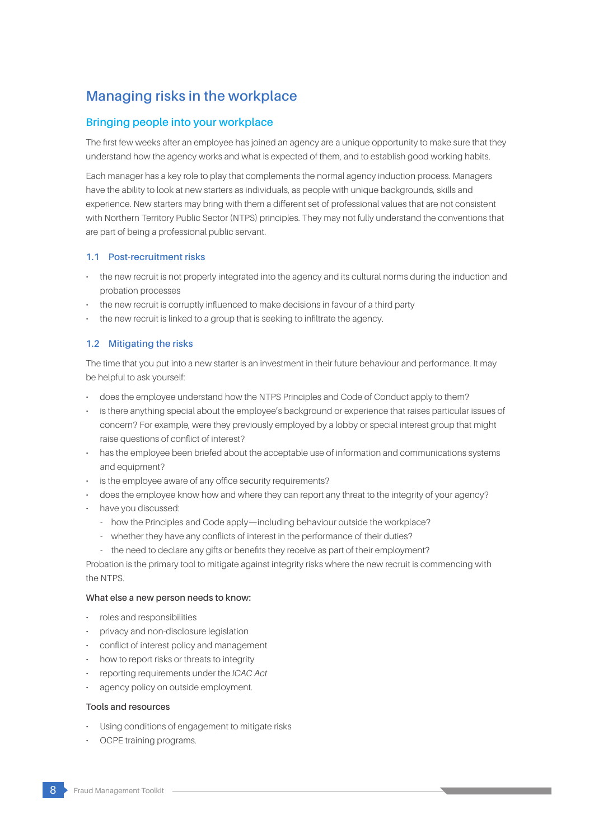# **Managing risks in the workplace**

## **Bringing people into your workplace**

The first few weeks after an employee has joined an agency are a unique opportunity to make sure that they understand how the agency works and what is expected of them, and to establish good working habits.

Each manager has a key role to play that complements the normal agency induction process. Managers have the ability to look at new starters as individuals, as people with unique backgrounds, skills and experience. New starters may bring with them a different set of professional values that are not consistent with Northern Territory Public Sector (NTPS) principles. They may not fully understand the conventions that are part of being a professional public servant.

## **1.1 Post-recruitment risks**

- the new recruit is not properly integrated into the agency and its cultural norms during the induction and probation processes
- the new recruit is corruptly influenced to make decisions in favour of a third party
- the new recruit is linked to a group that is seeking to infiltrate the agency.

## **1.2 Mitigating the risks**

The time that you put into a new starter is an investment in their future behaviour and performance. It may be helpful to ask yourself:

- does the employee understand how the NTPS Principles and Code of Conduct apply to them?
- is there anything special about the employee's background or experience that raises particular issues of concern? For example, were they previously employed by a lobby or special interest group that might raise questions of conflict of interest?
- has the employee been briefed about the acceptable use of information and communications systems and equipment?
- is the employee aware of any office security requirements?
- does the employee know how and where they can report any threat to the integrity of your agency?
- have you discussed:
	- how the Principles and Code apply—including behaviour outside the workplace?
	- whether they have any conflicts of interest in the performance of their duties?
	- the need to declare any gifts or benefits they receive as part of their employment?

Probation is the primary tool to mitigate against integrity risks where the new recruit is commencing with the NTPS.

## **What else a new person needs to know:**

- roles and responsibilities
- privacy and non-disclosure legislation
- conflict of interest policy and management
- how to report risks or threats to integrity
- reporting requirements under the *ICAC Act*
- agency policy on outside employment.

#### **Tools and resources**

- Using conditions of engagement to mitigate risks
- OCPE training programs.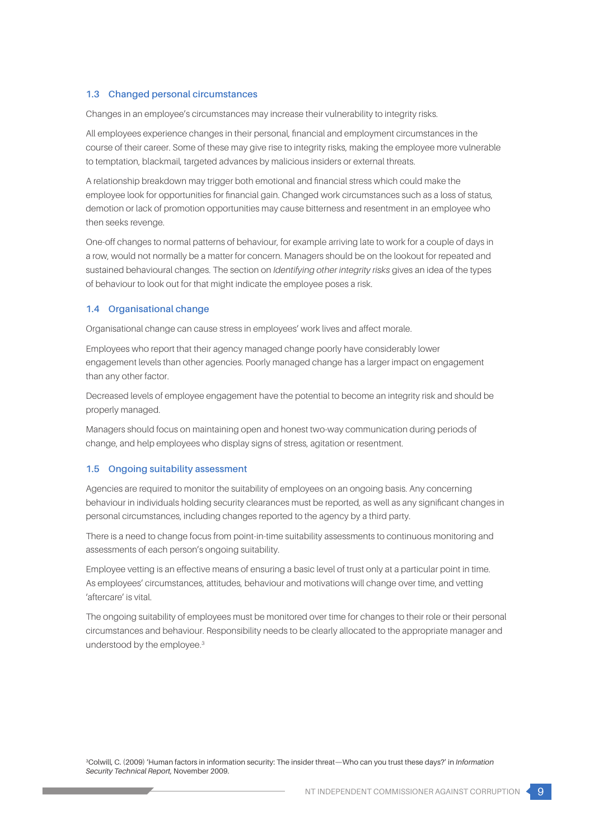## **1.3 Changed personal circumstances**

Changes in an employee's circumstances may increase their vulnerability to integrity risks.

All employees experience changes in their personal, financial and employment circumstances in the course of their career. Some of these may give rise to integrity risks, making the employee more vulnerable to temptation, blackmail, targeted advances by malicious insiders or external threats.

A relationship breakdown may trigger both emotional and financial stress which could make the employee look for opportunities for financial gain. Changed work circumstances such as a loss of status, demotion or lack of promotion opportunities may cause bitterness and resentment in an employee who then seeks revenge.

One-off changes to normal patterns of behaviour, for example arriving late to work for a couple of days in a row, would not normally be a matter for concern. Managers should be on the lookout for repeated and sustained behavioural changes. The section on *Identifying other integrity risks* gives an idea of the types of behaviour to look out for that might indicate the employee poses a risk.

#### **1.4 Organisational change**

Organisational change can cause stress in employees' work lives and affect morale.

Employees who report that their agency managed change poorly have considerably lower engagement levels than other agencies. Poorly managed change has a larger impact on engagement than any other factor.

Decreased levels of employee engagement have the potential to become an integrity risk and should be properly managed.

Managers should focus on maintaining open and honest two-way communication during periods of change, and help employees who display signs of stress, agitation or resentment.

#### **1.5 Ongoing suitability assessment**

Agencies are required to monitor the suitability of employees on an ongoing basis. Any concerning behaviour in individuals holding security clearances must be reported, as well as any significant changes in personal circumstances, including changes reported to the agency by a third party.

There is a need to change focus from point-in-time suitability assessments to continuous monitoring and assessments of each person's ongoing suitability.

Employee vetting is an effective means of ensuring a basic level of trust only at a particular point in time. As employees' circumstances, attitudes, behaviour and motivations will change over time, and vetting 'aftercare' is vital.

The ongoing suitability of employees must be monitored over time for changes to their role or their personal circumstances and behaviour. Responsibility needs to be clearly allocated to the appropriate manager and understood by the employee.3

3Colwill, C. (2009) 'Human factors in information security: The insider threat—Who can you trust these days?' in *Information Security Technical Report*, November 2009.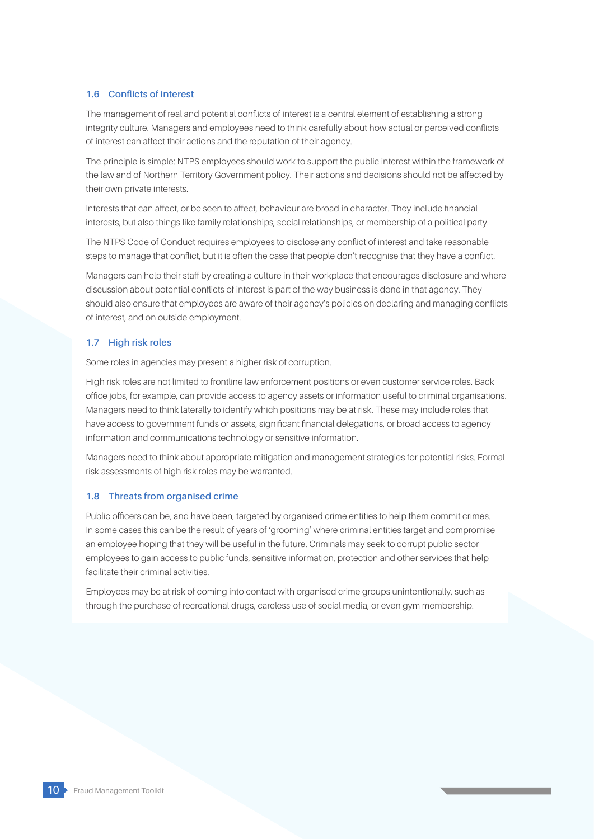## **1.6 Conflicts of interest**

The management of real and potential conflicts of interest is a central element of establishing a strong integrity culture. Managers and employees need to think carefully about how actual or perceived conflicts of interest can affect their actions and the reputation of their agency.

The principle is simple: NTPS employees should work to support the public interest within the framework of the law and of Northern Territory Government policy. Their actions and decisions should not be affected by their own private interests.

Interests that can affect, or be seen to affect, behaviour are broad in character. They include financial interests, but also things like family relationships, social relationships, or membership of a political party.

The NTPS Code of Conduct requires employees to disclose any conflict of interest and take reasonable steps to manage that conflict, but it is often the case that people don't recognise that they have a conflict.

Managers can help their staff by creating a culture in their workplace that encourages disclosure and where discussion about potential conflicts of interest is part of the way business is done in that agency. They should also ensure that employees are aware of their agency's policies on declaring and managing conflicts of interest, and on outside employment.

## **1.7 High risk roles**

Some roles in agencies may present a higher risk of corruption.

High risk roles are not limited to frontline law enforcement positions or even customer service roles. Back office jobs, for example, can provide access to agency assets or information useful to criminal organisations. Managers need to think laterally to identify which positions may be at risk. These may include roles that have access to government funds or assets, significant financial delegations, or broad access to agency information and communications technology or sensitive information.

Managers need to think about appropriate mitigation and management strategies for potential risks. Formal risk assessments of high risk roles may be warranted.

## **1.8 Threats from organised crime**

Public officers can be, and have been, targeted by organised crime entities to help them commit crimes. In some cases this can be the result of years of 'grooming' where criminal entities target and compromise an employee hoping that they will be useful in the future. Criminals may seek to corrupt public sector employees to gain access to public funds, sensitive information, protection and other services that help facilitate their criminal activities.

Employees may be at risk of coming into contact with organised crime groups unintentionally, such as through the purchase of recreational drugs, careless use of social media, or even gym membership.

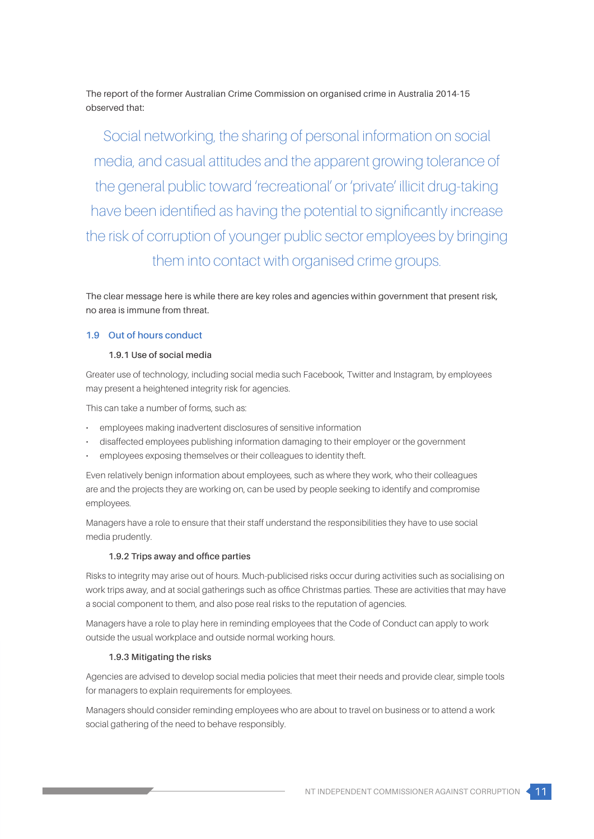The report of the former Australian Crime Commission on organised crime in Australia 2014-15 observed that:

Social networking, the sharing of personal information on social media, and casual attitudes and the apparent growing tolerance of the general public toward 'recreational' or 'private' illicit drug-taking have been identified as having the potential to significantly increase the risk of corruption of younger public sector employees by bringing them into contact with organised crime groups.

The clear message here is while there are key roles and agencies within government that present risk, no area is immune from threat.

## **1.9 Out of hours conduct**

## **1.9.1 Use of social media**

Greater use of technology, including social media such Facebook, Twitter and Instagram, by employees may present a heightened integrity risk for agencies.

This can take a number of forms, such as:

- employees making inadvertent disclosures of sensitive information
- disaffected employees publishing information damaging to their employer or the government
- employees exposing themselves or their colleagues to identity theft.

Even relatively benign information about employees, such as where they work, who their colleagues are and the projects they are working on, can be used by people seeking to identify and compromise employees.

Managers have a role to ensure that their staff understand the responsibilities they have to use social media prudently.

## **1.9.2 Trips away and office parties**

Risks to integrity may arise out of hours. Much-publicised risks occur during activities such as socialising on work trips away, and at social gatherings such as office Christmas parties. These are activities that may have a social component to them, and also pose real risks to the reputation of agencies.

Managers have a role to play here in reminding employees that the Code of Conduct can apply to work outside the usual workplace and outside normal working hours.

## **1.9.3 Mitigating the risks**

Agencies are advised to develop social media policies that meet their needs and provide clear, simple tools for managers to explain requirements for employees.

Managers should consider reminding employees who are about to travel on business or to attend a work social gathering of the need to behave responsibly.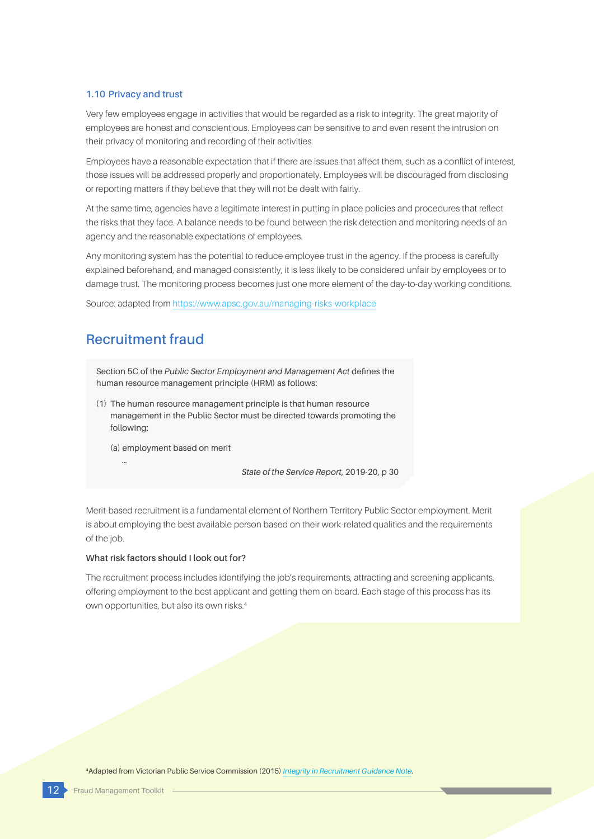#### **1.10 Privacy and trust**

Very few employees engage in activities that would be regarded as a risk to integrity. The great majority of employees are honest and conscientious. Employees can be sensitive to and even resent the intrusion on their privacy of monitoring and recording of their activities.

Employees have a reasonable expectation that if there are issues that affect them, such as a conflict of interest, those issues will be addressed properly and proportionately. Employees will be discouraged from disclosing or reporting matters if they believe that they will not be dealt with fairly.

At the same time, agencies have a legitimate interest in putting in place policies and procedures that reflect the risks that they face. A balance needs to be found between the risk detection and monitoring needs of an agency and the reasonable expectations of employees.

Any monitoring system has the potential to reduce employee trust in the agency. If the process is carefully explained beforehand, and managed consistently, it is less likely to be considered unfair by employees or to damage trust. The monitoring process becomes just one more element of the day-to-day working conditions.

Source: adapted from<https://www.apsc.gov.au/managing-risks-workplace>

## **Recruitment fraud**

…

Section 5C of the *Public Sector Employment and Management Act* defines the human resource management principle (HRM) as follows:

(1) The human resource management principle is that human resource management in the Public Sector must be directed towards promoting the following:

(a) employment based on merit

*State of the Service Report*, 2019-20, p 30

Merit-based recruitment is a fundamental element of Northern Territory Public Sector employment. Merit is about employing the best available person based on their work-related qualities and the requirements of the job.

#### **What risk factors should I look out for?**

The recruitment process includes identifying the job's requirements, attracting and screening applicants, offering employment to the best applicant and getting them on board. Each stage of this process has its own opportunities, but also its own risks.<sup>4</sup>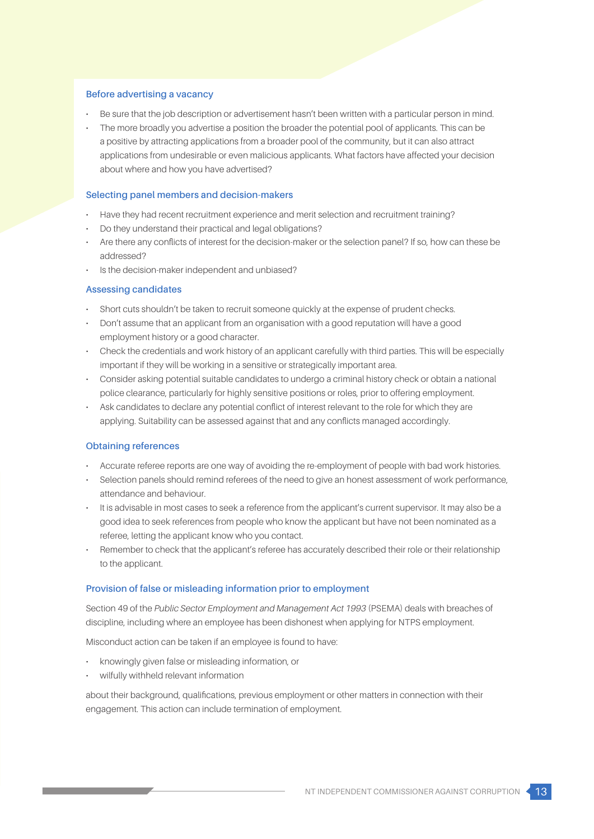#### **Before advertising a vacancy**

- Be sure that the job description or advertisement hasn't been written with a particular person in mind.
- The more broadly you advertise a position the broader the potential pool of applicants. This can be a positive by attracting applications from a broader pool of the community, but it can also attract applications from undesirable or even malicious applicants. What factors have affected your decision about where and how you have advertised?

#### **Selecting panel members and decision-makers**

- Have they had recent recruitment experience and merit selection and recruitment training?
- Do they understand their practical and legal obligations?
- Are there any conflicts of interest for the decision-maker or the selection panel? If so, how can these be addressed?
- Is the decision-maker independent and unbiased?

#### **Assessing candidates**

- Short cuts shouldn't be taken to recruit someone quickly at the expense of prudent checks.
- Don't assume that an applicant from an organisation with a good reputation will have a good employment history or a good character.
- Check the credentials and work history of an applicant carefully with third parties. This will be especially important if they will be working in a sensitive or strategically important area.
- Consider asking potential suitable candidates to undergo a criminal history check or obtain a national police clearance, particularly for highly sensitive positions or roles, prior to offering employment.
- Ask candidates to declare any potential conflict of interest relevant to the role for which they are applying. Suitability can be assessed against that and any conflicts managed accordingly.

## **Obtaining references**

- Accurate referee reports are one way of avoiding the re-employment of people with bad work histories.
- Selection panels should remind referees of the need to give an honest assessment of work performance, attendance and behaviour.
- It is advisable in most cases to seek a reference from the applicant's current supervisor. It may also be a good idea to seek references from people who know the applicant but have not been nominated as a referee, letting the applicant know who you contact.
- Remember to check that the applicant's referee has accurately described their role or their relationship to the applicant.

## **Provision of false or misleading information prior to employment**

Section 49 of the *Public Sector Employment and Management Act 1993* (PSEMA) deals with breaches of discipline, including where an employee has been dishonest when applying for NTPS employment.

Misconduct action can be taken if an employee is found to have:

- knowingly given false or misleading information, or
- wilfully withheld relevant information

about their background, qualifications, previous employment or other matters in connection with their engagement. This action can include termination of employment.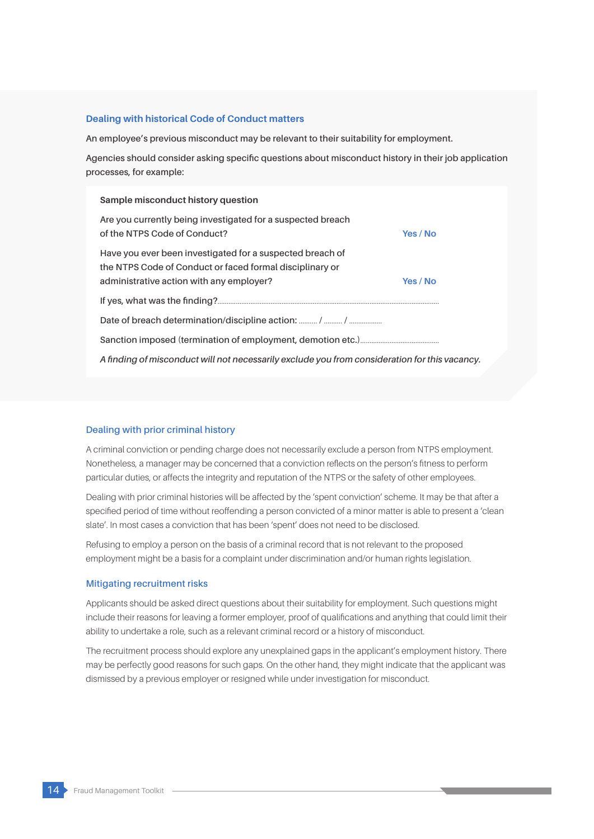#### **Dealing with historical Code of Conduct matters**

**An employee's previous misconduct may be relevant to their suitability for employment.**

**Agencies should consider asking specific questions about misconduct history in their job application processes, for example:**

#### **Sample misconduct history question**

| Are you currently being investigated for a suspected breach<br>of the NTPS Code of Conduct?                                                                       | Yes / No |  |  |
|-------------------------------------------------------------------------------------------------------------------------------------------------------------------|----------|--|--|
| Have you ever been investigated for a suspected breach of<br>the NTPS Code of Conduct or faced formal disciplinary or<br>administrative action with any employer? | Yes / No |  |  |
|                                                                                                                                                                   |          |  |  |
|                                                                                                                                                                   |          |  |  |
|                                                                                                                                                                   |          |  |  |
| A finding of misconduct will not necessarily exclude you from consideration for this vacancy.                                                                     |          |  |  |

## **Dealing with prior criminal history**

A criminal conviction or pending charge does not necessarily exclude a person from NTPS employment. Nonetheless, a manager may be concerned that a conviction reflects on the person's fitness to perform particular duties, or affects the integrity and reputation of the NTPS or the safety of other employees.

Dealing with prior criminal histories will be affected by the 'spent conviction' scheme. It may be that after a specified period of time without reoffending a person convicted of a minor matter is able to present a 'clean slate'. In most cases a conviction that has been 'spent' does not need to be disclosed.

Refusing to employ a person on the basis of a criminal record that is not relevant to the proposed employment might be a basis for a complaint under discrimination and/or human rights legislation.

#### **Mitigating recruitment risks**

Applicants should be asked direct questions about their suitability for employment. Such questions might include their reasons for leaving a former employer, proof of qualifications and anything that could limit their ability to undertake a role, such as a relevant criminal record or a history of misconduct.

The recruitment process should explore any unexplained gaps in the applicant's employment history. There may be perfectly good reasons for such gaps. On the other hand, they might indicate that the applicant was dismissed by a previous employer or resigned while under investigation for misconduct.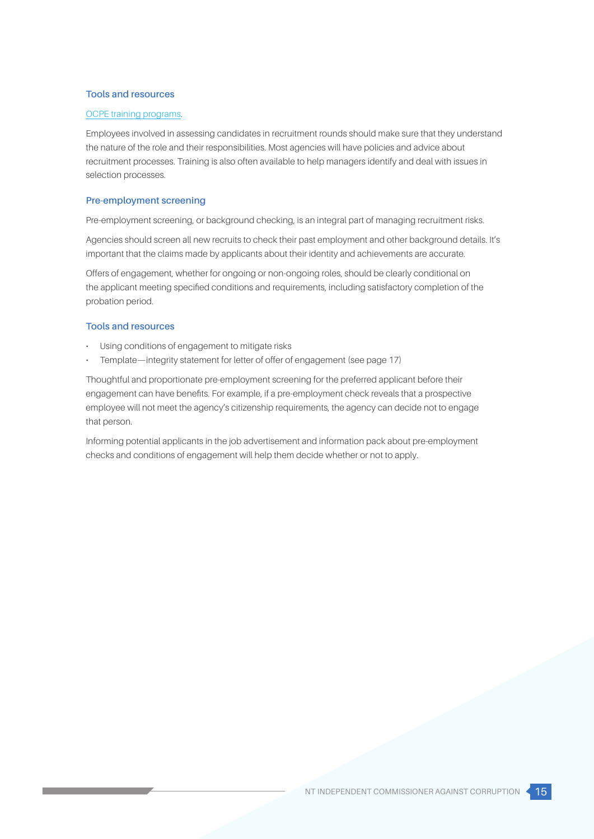## **Tools and resources**

#### [OCPE training program](https://ocpe.nt.gov.au/people-and-planning/leadership-and-capability/find-a-course)s.

Employees involved in assessing candidates in recruitment rounds should make sure that they understand the nature of the role and their responsibilities. Most agencies will have policies and advice about recruitment processes. Training is also often available to help managers identify and deal with issues in selection processes.

## **Pre-employment screening**

Pre-employment screening, or background checking, is an integral part of managing recruitment risks.

Agencies should screen all new recruits to check their past employment and other background details. It's important that the claims made by applicants about their identity and achievements are accurate.

Offers of engagement, whether for ongoing or non-ongoing roles, should be clearly conditional on the applicant meeting specified conditions and requirements, including satisfactory completion of the probation period.

### **Tools and resources**

- Using conditions of engagement to mitigate risks
- Template—integrity statement for letter of offer of engagement (see page 17)

Thoughtful and proportionate pre-employment screening for the preferred applicant before their engagement can have benefits. For example, if a pre-employment check reveals that a prospective employee will not meet the agency's citizenship requirements, the agency can decide not to engage that person.

Informing potential applicants in the job advertisement and information pack about pre-employment checks and conditions of engagement will help them decide whether or not to apply.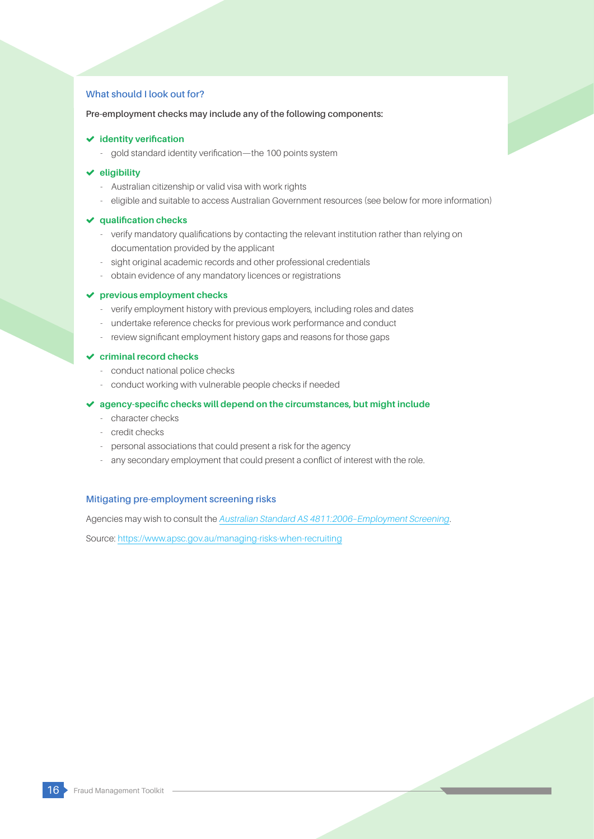## **What should I look out for?**

### **Pre-employment checks may include any of the following components:**

## **identity verification**

- gold standard identity verification—the 100 points system

#### **eligibility**

- Australian citizenship or valid visa with work rights
- eligible and suitable to access Australian Government resources (see below for more information)

#### **qualification checks**

- verify mandatory qualifications by contacting the relevant institution rather than relying on documentation provided by the applicant
- sight original academic records and other professional credentials
- obtain evidence of any mandatory licences or registrations

#### **previous employment checks**

- verify employment history with previous employers, including roles and dates
- undertake reference checks for previous work performance and conduct
- review significant employment history gaps and reasons for those gaps

## **criminal record checks**

- conduct national police checks
- conduct working with vulnerable people checks if needed

#### **agency-specific checks will depend on the circumstances, but might include**

- character checks
- credit checks
- personal associations that could present a risk for the agency
- any secondary employment that could present a conflict of interest with the role.

## **Mitigating pre-employment screening risks**

Agencies may wish to consult the *[Australian Standard AS 4811:2006–Employment Screening](http://www.standards.org.au/Pages/default.aspx)*.

Source[: https://www.apsc.gov.au/managing-risks-when-recruiting](https://www.apsc.gov.au/managing-risks-when-recruiting)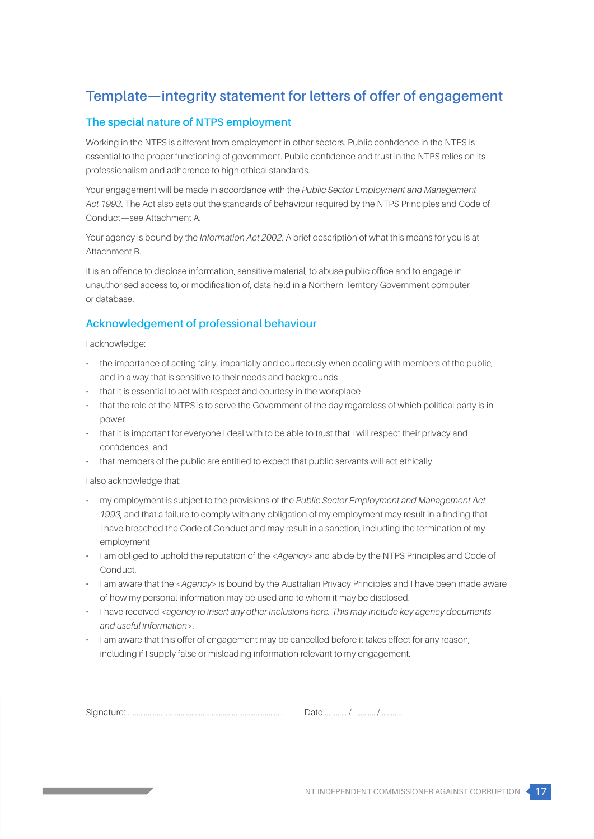# **Template—integrity statement for letters of offer of engagement**

## **The special nature of NTPS employment**

Working in the NTPS is different from employment in other sectors. Public confidence in the NTPS is essential to the proper functioning of government. Public confidence and trust in the NTPS relies on its professionalism and adherence to high ethical standards.

Your engagement will be made in accordance with the *Public Sector Employment and Management Act 1993*. The Act also sets out the standards of behaviour required by the NTPS Principles and Code of Conduct—see Attachment A.

Your agency is bound by the *Information Act 2002*. A brief description of what this means for you is at Attachment B.

It is an offence to disclose information, sensitive material, to abuse public office and to engage in unauthorised access to, or modification of, data held in a Northern Territory Government computer or database.

## **Acknowledgement of professional behaviour**

I acknowledge:

- the importance of acting fairly, impartially and courteously when dealing with members of the public, and in a way that is sensitive to their needs and backgrounds
- that it is essential to act with respect and courtesy in the workplace
- that the role of the NTPS is to serve the Government of the day regardless of which political party is in power
- that it is important for everyone I deal with to be able to trust that I will respect their privacy and confidences, and
- that members of the public are entitled to expect that public servants will act ethically.

I also acknowledge that:

- my employment is subject to the provisions of the *Public Sector Employment and Management Act 1993*, and that a failure to comply with any obligation of my employment may result in a finding that I have breached the Code of Conduct and may result in a sanction, including the termination of my employment
- I am obliged to uphold the reputation of the <*Agency*> and abide by the NTPS Principles and Code of Conduct.
- I am aware that the <*Agency*> is bound by the Australian Privacy Principles and I have been made aware of how my personal information may be used and to whom it may be disclosed.
- I have received <*agency to insert any other inclusions here. This may include key agency documents and useful information*>.
- I am aware that this offer of engagement may be cancelled before it takes effect for any reason, including if I supply false or misleading information relevant to my engagement.

Signature: ..................................................................................... Date ............ / ............ / ............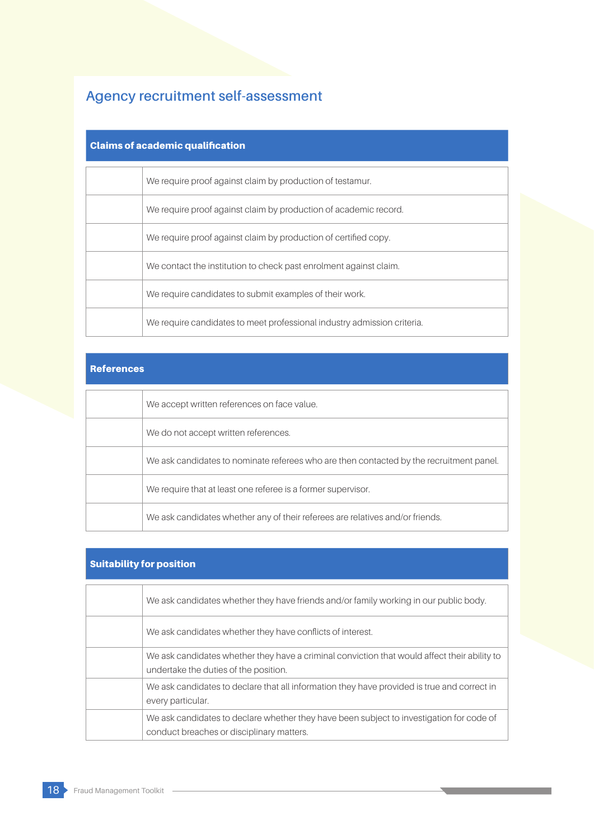# **Agency recruitment self-assessment**

## Claims of academic qualification

| We require proof against claim by production of testamur.               |
|-------------------------------------------------------------------------|
| We require proof against claim by production of academic record.        |
| We require proof against claim by production of certified copy.         |
| We contact the institution to check past enrolment against claim.       |
| We require candidates to submit examples of their work.                 |
| We require candidates to meet professional industry admission criteria. |

## References

| We accept written references on face value.                                             |
|-----------------------------------------------------------------------------------------|
| We do not accept written references.                                                    |
| We ask candidates to nominate referees who are then contacted by the recruitment panel. |
| We require that at least one referee is a former supervisor.                            |
| We ask candidates whether any of their referees are relatives and/or friends.           |

## Suitability for position

| We ask candidates whether they have friends and/or family working in our public body.                                                 |
|---------------------------------------------------------------------------------------------------------------------------------------|
| We ask candidates whether they have conflicts of interest.                                                                            |
| We ask candidates whether they have a criminal conviction that would affect their ability to<br>undertake the duties of the position. |
| We ask candidates to declare that all information they have provided is true and correct in<br>every particular.                      |
| We ask candidates to declare whether they have been subject to investigation for code of<br>conduct breaches or disciplinary matters. |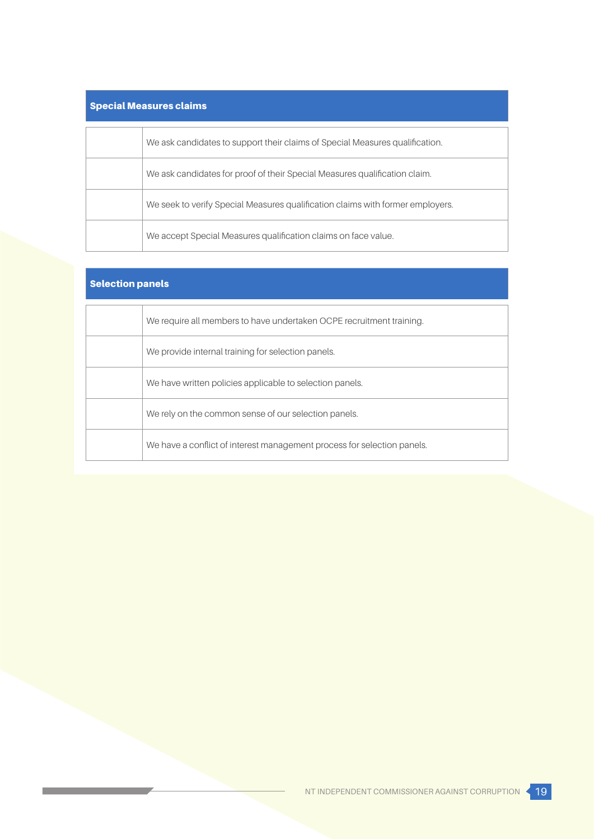# Special Measures claims

| We ask candidates to support their claims of Special Measures qualification.   |
|--------------------------------------------------------------------------------|
| We ask candidates for proof of their Special Measures qualification claim.     |
| We seek to verify Special Measures qualification claims with former employers. |
| We accept Special Measures qualification claims on face value.                 |

## Selection panels

| We require all members to have undertaken OCPE recruitment training.    |
|-------------------------------------------------------------------------|
| We provide internal training for selection panels.                      |
| We have written policies applicable to selection panels.                |
| We rely on the common sense of our selection panels.                    |
| We have a conflict of interest management process for selection panels. |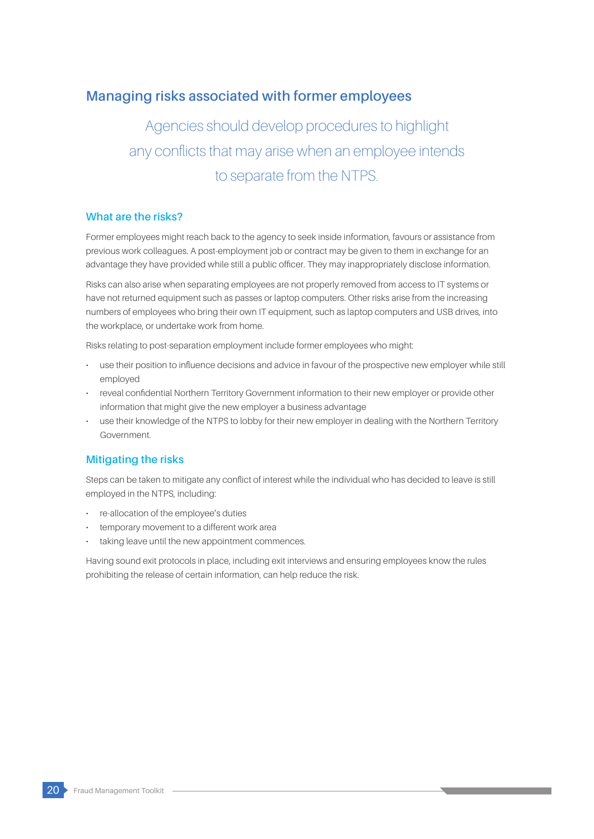## **Managing risks associated with former employees**

# Agencies should develop procedures to highlight any conflicts that may arise when an employee intends to separate from the NTPS.

## **What are the risks?**

Former employees might reach back to the agency to seek inside information, favours or assistance from previous work colleagues. A post-employment job or contract may be given to them in exchange for an advantage they have provided while still a public officer. They may inappropriately disclose information.

Risks can also arise when separating employees are not properly removed from access to IT systems or have not returned equipment such as passes or laptop computers. Other risks arise from the increasing numbers of employees who bring their own IT equipment, such as laptop computers and USB drives, into the workplace, or undertake work from home.

Risks relating to post-separation employment include former employees who might:

- use their position to influence decisions and advice in favour of the prospective new employer while still employed
- reveal confidential Northern Territory Government information to their new employer or provide other information that might give the new employer a business advantage
- use their knowledge of the NTPS to lobby for their new employer in dealing with the Northern Territory Government.

## **Mitigating the risks**

Steps can be taken to mitigate any conflict of interest while the individual who has decided to leave is still employed in the NTPS, including:

- re-allocation of the employee's duties
- temporary movement to a different work area
- taking leave until the new appointment commences.

Having sound exit protocols in place, including exit interviews and ensuring employees know the rules prohibiting the release of certain information, can help reduce the risk.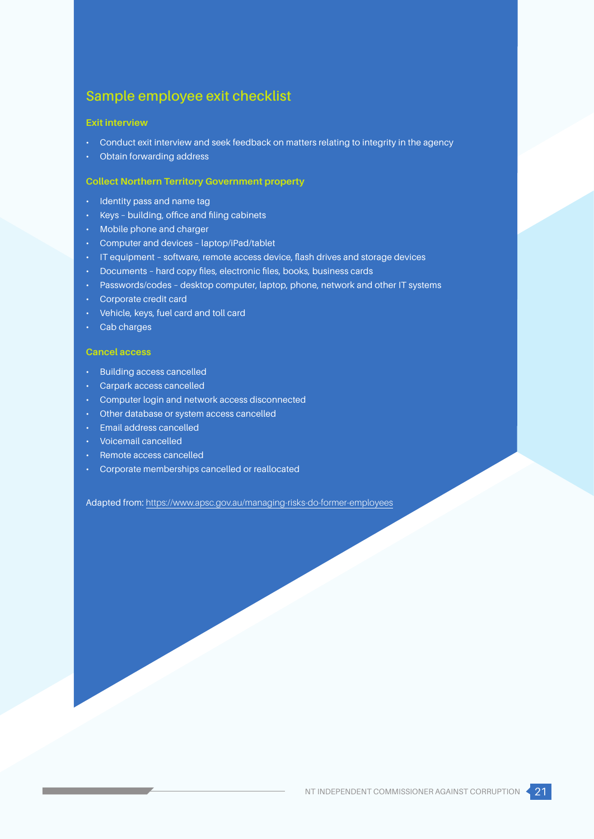## **Sample employee exit checklist**

#### **Exit interview**

- Conduct exit interview and seek feedback on matters relating to integrity in the agency
- Obtain forwarding address

## **Collect Northern Territory Government property**

- Identity pass and name tag
- Keys building, office and filing cabinets
- Mobile phone and charger
- Computer and devices laptop/iPad/tablet
- IT equipment software, remote access device, flash drives and storage devices
- Documents hard copy files, electronic files, books, business cards
- Passwords/codes desktop computer, laptop, phone, network and other IT systems
- Corporate credit card
- Vehicle, keys, fuel card and toll card
- Cab charges

## **Cancel access**

- Building access cancelled
- Carpark access cancelled
- Computer login and network access disconnected
- Other database or system access cancelled
- Email address cancelled
- Voicemail cancelled
- Remote access cancelled
- Corporate memberships cancelled or reallocated

Adapted from: <https://www.apsc.gov.au/managing-risks-do-former-employees>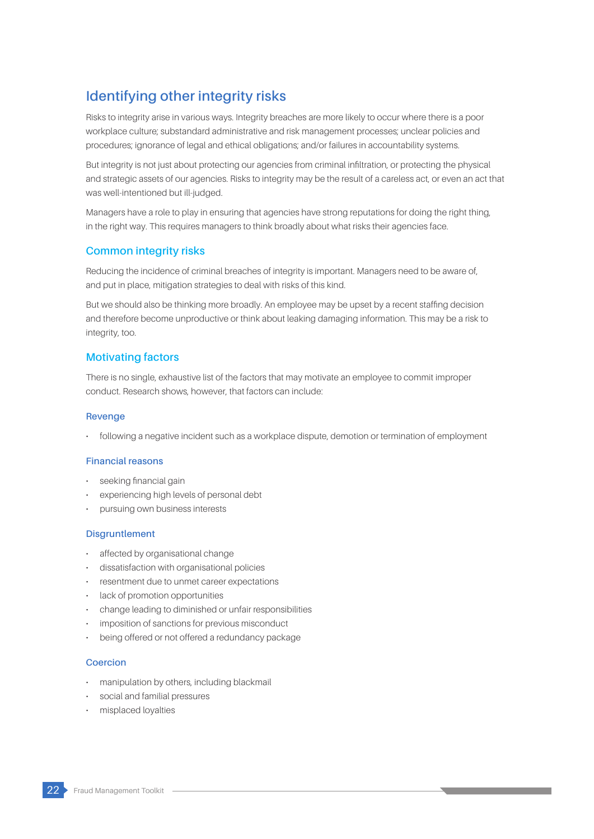# **Identifying other integrity risks**

Risks to integrity arise in various ways. Integrity breaches are more likely to occur where there is a poor workplace culture; substandard administrative and risk management processes; unclear policies and procedures; ignorance of legal and ethical obligations; and/or failures in accountability systems.

But integrity is not just about protecting our agencies from criminal infiltration, or protecting the physical and strategic assets of our agencies. Risks to integrity may be the result of a careless act, or even an act that was well-intentioned but ill-judged.

Managers have a role to play in ensuring that agencies have strong reputations for doing the right thing, in the right way. This requires managers to think broadly about what risks their agencies face.

## **Common integrity risks**

Reducing the incidence of criminal breaches of integrity is important. Managers need to be aware of, and put in place, mitigation strategies to deal with risks of this kind.

But we should also be thinking more broadly. An employee may be upset by a recent staffing decision and therefore become unproductive or think about leaking damaging information. This may be a risk to integrity, too.

## **Motivating factors**

There is no single, exhaustive list of the factors that may motivate an employee to commit improper conduct. Research shows, however, that factors can include:

### **Revenge**

• following a negative incident such as a workplace dispute, demotion or termination of employment

## **Financial reasons**

- seeking financial gain
- experiencing high levels of personal debt
- pursuing own business interests

## **Disgruntlement**

- affected by organisational change
- dissatisfaction with organisational policies
- resentment due to unmet career expectations
- lack of promotion opportunities
- change leading to diminished or unfair responsibilities
- imposition of sanctions for previous misconduct
- being offered or not offered a redundancy package

## **Coercion**

- manipulation by others, including blackmail
- social and familial pressures
- misplaced loyalties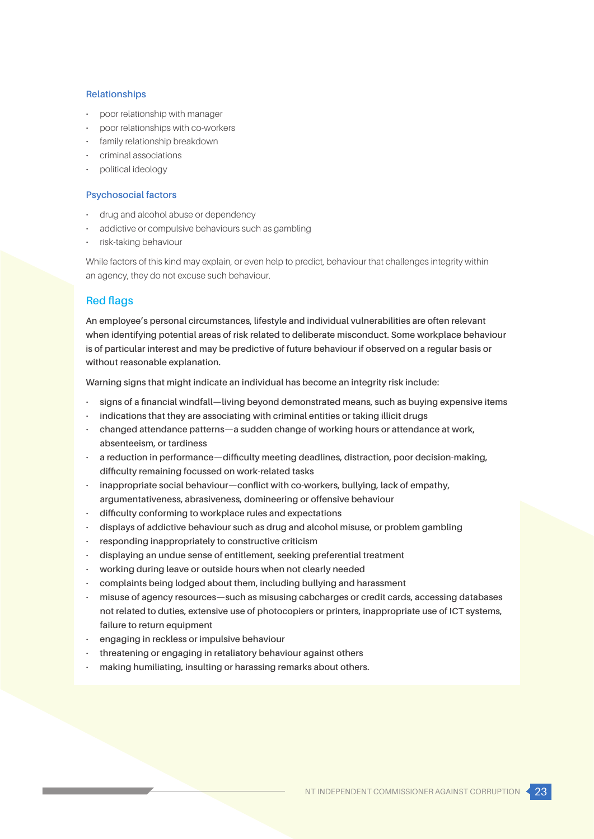#### **Relationships**

- poor relationship with manager
- poor relationships with co-workers
- family relationship breakdown
- criminal associations
- political ideology

### **Psychosocial factors**

- drug and alcohol abuse or dependency
- addictive or compulsive behaviours such as gambling
- risk-taking behaviour

While factors of this kind may explain, or even help to predict, behaviour that challenges integrity within an agency, they do not excuse such behaviour.

## **Red flags**

**An employee's personal circumstances, lifestyle and individual vulnerabilities are often relevant when identifying potential areas of risk related to deliberate misconduct. Some workplace behaviour is of particular interest and may be predictive of future behaviour if observed on a regular basis or without reasonable explanation.**

**Warning signs that might indicate an individual has become an integrity risk include:**

- **signs of a financial windfall—living beyond demonstrated means, such as buying expensive items**
- **indications that they are associating with criminal entities or taking illicit drugs**
- **changed attendance patterns—a sudden change of working hours or attendance at work, absenteeism, or tardiness**
- **a reduction in performance—difficulty meeting deadlines, distraction, poor decision-making, difficulty remaining focussed on work-related tasks**
- **inappropriate social behaviour—conflict with co-workers, bullying, lack of empathy, argumentativeness, abrasiveness, domineering or offensive behaviour**
- **difficulty conforming to workplace rules and expectations**
- **displays of addictive behaviour such as drug and alcohol misuse, or problem gambling**
- **responding inappropriately to constructive criticism**
- **displaying an undue sense of entitlement, seeking preferential treatment**
- **working during leave or outside hours when not clearly needed**
- **complaints being lodged about them, including bullying and harassment**
- **misuse of agency resources—such as misusing cabcharges or credit cards, accessing databases not related to duties, extensive use of photocopiers or printers, inappropriate use of ICT systems, failure to return equipment**
- **engaging in reckless or impulsive behaviour**
- **threatening or engaging in retaliatory behaviour against others**
- **making humiliating, insulting or harassing remarks about others.**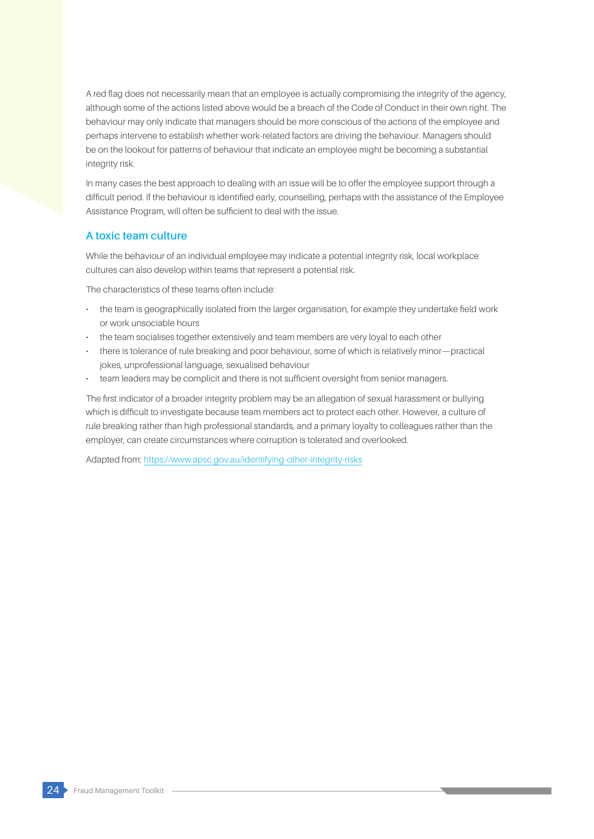A red flag does not necessarily mean that an employee is actually compromising the integrity of the agency, although some of the actions listed above would be a breach of the Code of Conduct in their own right. The behaviour may only indicate that managers should be more conscious of the actions of the employee and perhaps intervene to establish whether work-related factors are driving the behaviour. Managers should be on the lookout for patterns of behaviour that indicate an employee might be becoming a substantial integrity risk.

In many cases the best approach to dealing with an issue will be to offer the employee support through a difficult period. If the behaviour is identified early, counselling, perhaps with the assistance of the Employee Assistance Program, will often be sufficient to deal with the issue.

## **A toxic team culture**

While the behaviour of an individual employee may indicate a potential integrity risk, local workplace cultures can also develop within teams that represent a potential risk.

The characteristics of these teams often include:

- the team is geographically isolated from the larger organisation, for example they undertake field work or work unsociable hours
- the team socialises together extensively and team members are very loyal to each other
- there is tolerance of rule breaking and poor behaviour, some of which is relatively minor—practical jokes, unprofessional language, sexualised behaviour
- team leaders may be complicit and there is not sufficient oversight from senior managers.

The first indicator of a broader integrity problem may be an allegation of sexual harassment or bullying which is difficult to investigate because team members act to protect each other. However, a culture of rule breaking rather than high professional standards, and a primary loyalty to colleagues rather than the employer, can create circumstances where corruption is tolerated and overlooked.

Adapted from: https://www.apsc.gov.au/identifying-other-integrity-risks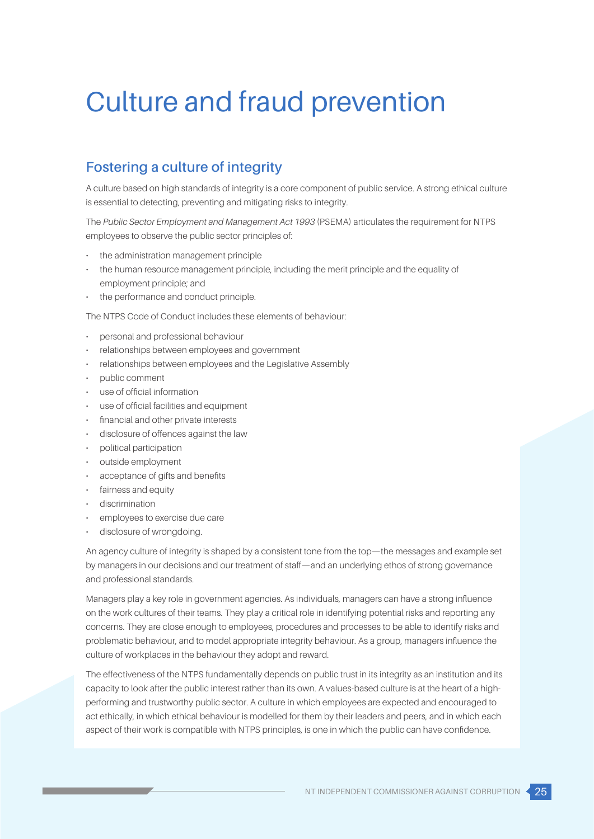# Culture and fraud prevention

# **Fostering a culture of integrity**

A culture based on high standards of integrity is a core component of public service. A strong ethical culture is essential to detecting, preventing and mitigating risks to integrity.

The *Public Sector Employment and Management Act 1993* (PSEMA) articulates the requirement for NTPS employees to observe the public sector principles of:

- the administration management principle
- the human resource management principle, including the merit principle and the equality of employment principle; and
- the performance and conduct principle.

The NTPS Code of Conduct includes these elements of behaviour:

- personal and professional behaviour
- relationships between employees and government
- relationships between employees and the Legislative Assembly
- public comment
- use of official information
- use of official facilities and equipment
- financial and other private interests
- disclosure of offences against the law
- political participation
- outside employment
- acceptance of gifts and benefits
- fairness and equity
- discrimination
- employees to exercise due care
- disclosure of wrongdoing.

An agency culture of integrity is shaped by a consistent tone from the top—the messages and example set by managers in our decisions and our treatment of staff—and an underlying ethos of strong governance and professional standards.

Managers play a key role in government agencies. As individuals, managers can have a strong influence on the work cultures of their teams. They play a critical role in identifying potential risks and reporting any concerns. They are close enough to employees, procedures and processes to be able to identify risks and problematic behaviour, and to model appropriate integrity behaviour. As a group, managers influence the culture of workplaces in the behaviour they adopt and reward.

The effectiveness of the NTPS fundamentally depends on public trust in its integrity as an institution and its capacity to look after the public interest rather than its own. A values-based culture is at the heart of a highperforming and trustworthy public sector. A culture in which employees are expected and encouraged to act ethically, in which ethical behaviour is modelled for them by their leaders and peers, and in which each aspect of their work is compatible with NTPS principles, is one in which the public can have confidence.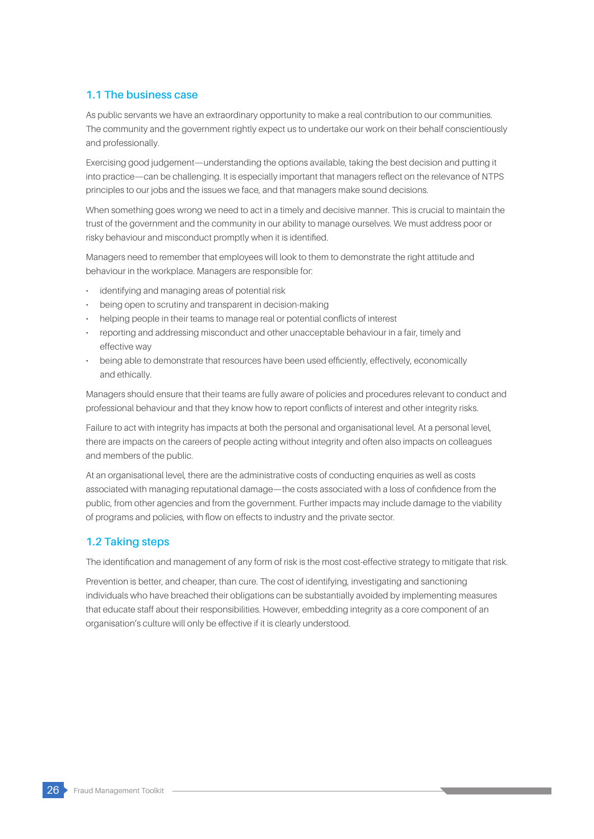## **1.1 The business case**

As public servants we have an extraordinary opportunity to make a real contribution to our communities. The community and the government rightly expect us to undertake our work on their behalf conscientiously and professionally.

Exercising good judgement—understanding the options available, taking the best decision and putting it into practice—can be challenging. It is especially important that managers reflect on the relevance of NTPS principles to our jobs and the issues we face, and that managers make sound decisions.

When something goes wrong we need to act in a timely and decisive manner. This is crucial to maintain the trust of the government and the community in our ability to manage ourselves. We must address poor or risky behaviour and misconduct promptly when it is identified.

Managers need to remember that employees will look to them to demonstrate the right attitude and behaviour in the workplace. Managers are responsible for:

- identifying and managing areas of potential risk
- being open to scrutiny and transparent in decision-making
- helping people in their teams to manage real or potential conflicts of interest
- reporting and addressing misconduct and other unacceptable behaviour in a fair, timely and effective way
- being able to demonstrate that resources have been used efficiently, effectively, economically and ethically.

Managers should ensure that their teams are fully aware of policies and procedures relevant to conduct and professional behaviour and that they know how to report conflicts of interest and other integrity risks.

Failure to act with integrity has impacts at both the personal and organisational level. At a personal level, there are impacts on the careers of people acting without integrity and often also impacts on colleagues and members of the public.

At an organisational level, there are the administrative costs of conducting enquiries as well as costs associated with managing reputational damage—the costs associated with a loss of confidence from the public, from other agencies and from the government. Further impacts may include damage to the viability of programs and policies, with flow on effects to industry and the private sector.

## **1.2 Taking steps**

The identification and management of any form of risk is the most cost-effective strategy to mitigate that risk.

Prevention is better, and cheaper, than cure. The cost of identifying, investigating and sanctioning individuals who have breached their obligations can be substantially avoided by implementing measures that educate staff about their responsibilities. However, embedding integrity as a core component of an organisation's culture will only be effective if it is clearly understood.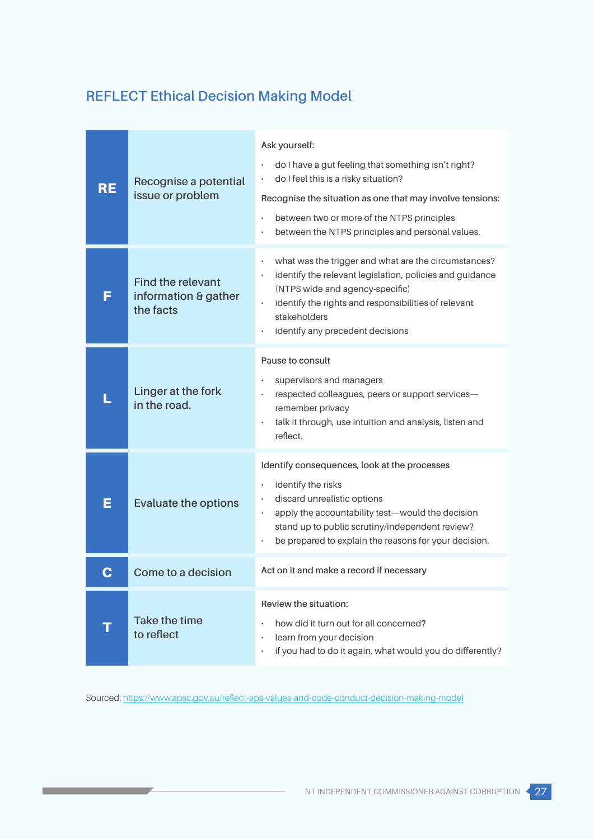# **REFLECT Ethical Decision Making Model**

| <b>RE</b> | Recognise a potential<br>issue or problem                     | Ask yourself:<br>do I have a gut feeling that something isn't right?<br>do I feel this is a risky situation?<br>$\bullet$<br>Recognise the situation as one that may involve tensions:<br>between two or more of the NTPS principles<br>$\bullet$<br>between the NTPS principles and personal values.    |
|-----------|---------------------------------------------------------------|----------------------------------------------------------------------------------------------------------------------------------------------------------------------------------------------------------------------------------------------------------------------------------------------------------|
| F         | <b>Find the relevant</b><br>information & gather<br>the facts | what was the trigger and what are the circumstances?<br>$\bullet$<br>identify the relevant legislation, policies and guidance<br>$\bullet$<br>(NTPS wide and agency-specific)<br>identify the rights and responsibilities of relevant<br>stakeholders<br>identify any precedent decisions                |
|           | Linger at the fork<br>in the road.                            | Pause to consult<br>supervisors and managers<br>respected colleagues, peers or support services-<br>$\bullet$<br>remember privacy<br>talk it through, use intuition and analysis, listen and<br>reflect.                                                                                                 |
| Е         | <b>Evaluate the options</b>                                   | Identify consequences, look at the processes<br>identify the risks<br>$\bullet$<br>discard unrealistic options<br>$\bullet$<br>apply the accountability test-would the decision<br>$\bullet$<br>stand up to public scrutiny/independent review?<br>be prepared to explain the reasons for your decision. |
|           | Come to a decision                                            | Act on it and make a record if necessary                                                                                                                                                                                                                                                                 |
|           | Take the time<br>to reflect                                   | Review the situation:<br>how did it turn out for all concerned?<br>$\bullet$<br>learn from your decision<br>$\bullet$<br>if you had to do it again, what would you do differently?<br>$\bullet$                                                                                                          |

Sourced:<https://www.apsc.gov.au/reflect-aps-values-and-code-conduct-decision-making-model>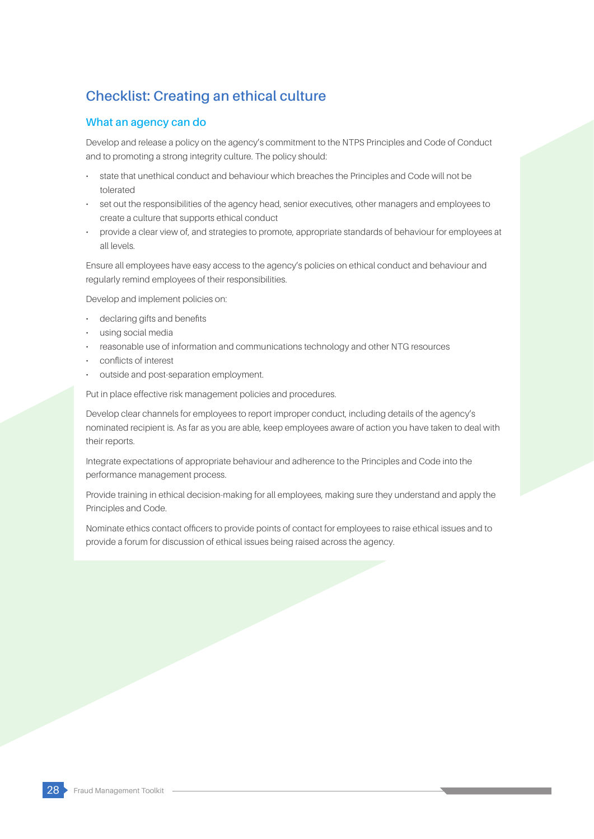# **Checklist: Creating an ethical culture**

## **What an agency can do**

Develop and release a policy on the agency's commitment to the NTPS Principles and Code of Conduct and to promoting a strong integrity culture. The policy should:

- state that unethical conduct and behaviour which breaches the Principles and Code will not be tolerated
- set out the responsibilities of the agency head, senior executives, other managers and employees to create a culture that supports ethical conduct
- provide a clear view of, and strategies to promote, appropriate standards of behaviour for employees at all levels.

Ensure all employees have easy access to the agency's policies on ethical conduct and behaviour and regularly remind employees of their responsibilities.

Develop and implement policies on:

- declaring gifts and benefits
- using social media
- reasonable use of information and communications technology and other NTG resources
- conflicts of interest
- outside and post-separation employment.

Put in place effective risk management policies and procedures.

Develop clear channels for employees to report improper conduct, including details of the agency's nominated recipient is. As far as you are able, keep employees aware of action you have taken to deal with their reports.

Integrate expectations of appropriate behaviour and adherence to the Principles and Code into the performance management process.

Provide training in ethical decision-making for all employees, making sure they understand and apply the Principles and Code.

Nominate ethics contact officers to provide points of contact for employees to raise ethical issues and to provide a forum for discussion of ethical issues being raised across the agency.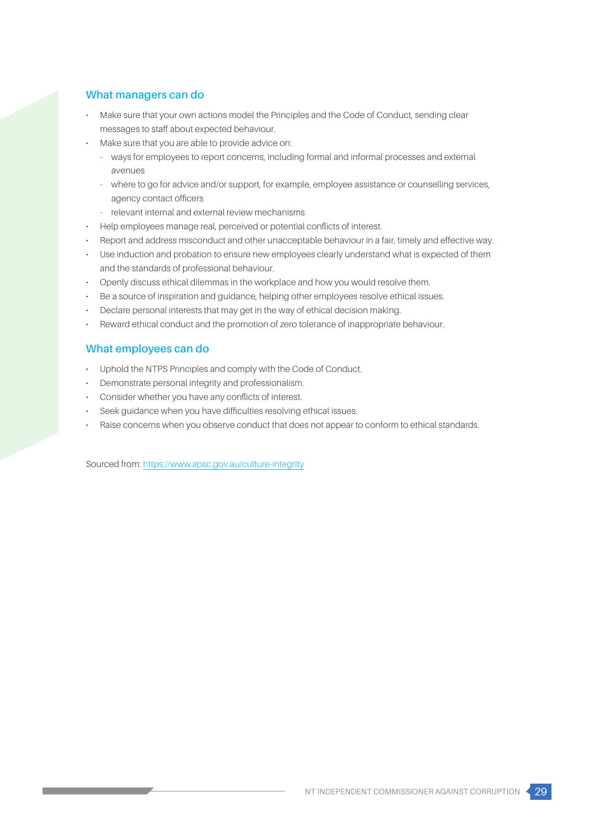## **What managers can do**

- Make sure that your own actions model the Principles and the Code of Conduct, sending clear messages to staff about expected behaviour.
- Make sure that you are able to provide advice on:
	- ways for employees to report concerns, including formal and informal processes and external avenues
	- where to go for advice and/or support, for example, employee assistance or counselling services, agency contact officers
	- relevant internal and external review mechanisms
- Help employees manage real, perceived or potential conflicts of interest.
- Report and address misconduct and other unacceptable behaviour in a fair, timely and effective way.
- Use induction and probation to ensure new employees clearly understand what is expected of them and the standards of professional behaviour.
- Openly discuss ethical dilemmas in the workplace and how you would resolve them.
- Be a source of inspiration and guidance, helping other employees resolve ethical issues.
- Declare personal interests that may get in the way of ethical decision making.
- Reward ethical conduct and the promotion of zero tolerance of inappropriate behaviour.

## **What employees can do**

- Uphold the NTPS Principles and comply with the Code of Conduct.
- Demonstrate personal integrity and professionalism.
- Consider whether you have any conflicts of interest.
- Seek guidance when you have difficulties resolving ethical issues.
- Raise concerns when you observe conduct that does not appear to conform to ethical standards.

Sourced from:<https://www.apsc.gov.au/culture-integrity>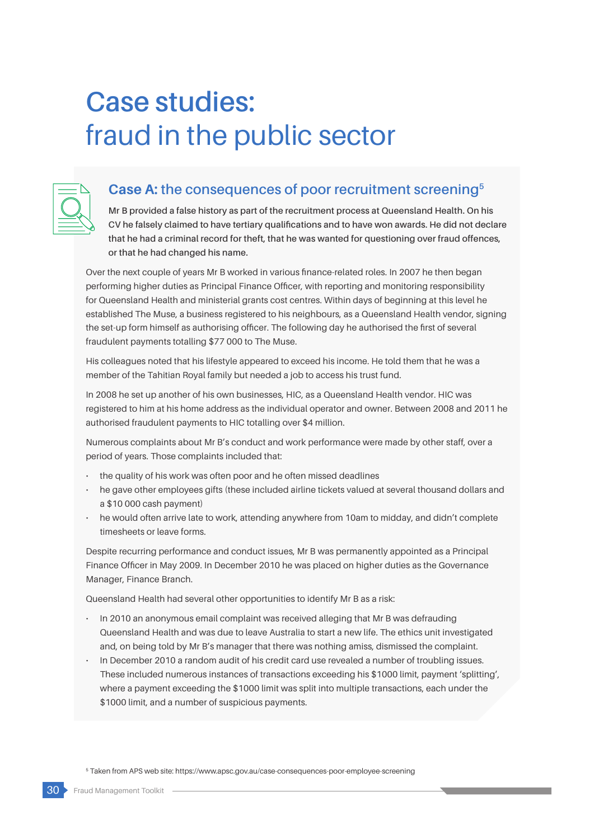# **Case studies:** fraud in the public sector



## **Case A: the consequences of poor recruitment screening5**

**Mr B provided a false history as part of the recruitment process at Queensland Health. On his CV he falsely claimed to have tertiary qualifications and to have won awards. He did not declare that he had a criminal record for theft, that he was wanted for questioning over fraud offences, or that he had changed his name.**

Over the next couple of years Mr B worked in various finance-related roles. In 2007 he then began performing higher duties as Principal Finance Officer, with reporting and monitoring responsibility for Queensland Health and ministerial grants cost centres. Within days of beginning at this level he established The Muse, a business registered to his neighbours, as a Queensland Health vendor, signing the set-up form himself as authorising officer. The following day he authorised the first of several fraudulent payments totalling \$77 000 to The Muse.

His colleagues noted that his lifestyle appeared to exceed his income. He told them that he was a member of the Tahitian Royal family but needed a job to access his trust fund.

In 2008 he set up another of his own businesses, HIC, as a Queensland Health vendor. HIC was registered to him at his home address as the individual operator and owner. Between 2008 and 2011 he authorised fraudulent payments to HIC totalling over \$4 million.

Numerous complaints about Mr B's conduct and work performance were made by other staff, over a period of years. Those complaints included that:

- the quality of his work was often poor and he often missed deadlines
- he gave other employees gifts (these included airline tickets valued at several thousand dollars and a \$10 000 cash payment)
- he would often arrive late to work, attending anywhere from 10am to midday, and didn't complete timesheets or leave forms.

Despite recurring performance and conduct issues, Mr B was permanently appointed as a Principal Finance Officer in May 2009. In December 2010 he was placed on higher duties as the Governance Manager, Finance Branch.

Queensland Health had several other opportunities to identify Mr B as a risk:

- In 2010 an anonymous email complaint was received alleging that Mr B was defrauding Queensland Health and was due to leave Australia to start a new life. The ethics unit investigated and, on being told by Mr B's manager that there was nothing amiss, dismissed the complaint.
- In December 2010 a random audit of his credit card use revealed a number of troubling issues. These included numerous instances of transactions exceeding his \$1000 limit, payment 'splitting', where a payment exceeding the \$1000 limit was split into multiple transactions, each under the \$1000 limit, and a number of suspicious payments.

5 Taken from APS web site: https://www.apsc.gov.au/case-consequences-poor-employee-screening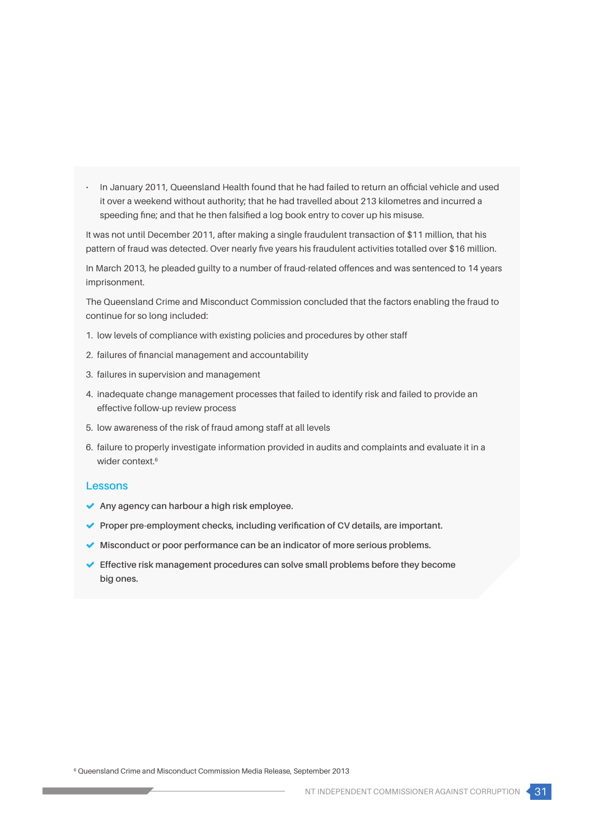• In January 2011, Queensland Health found that he had failed to return an official vehicle and used it over a weekend without authority; that he had travelled about 213 kilometres and incurred a speeding fine; and that he then falsified a log book entry to cover up his misuse.

It was not until December 2011, after making a single fraudulent transaction of \$11 million, that his pattern of fraud was detected. Over nearly five years his fraudulent activities totalled over \$16 million.

In March 2013, he pleaded guilty to a number of fraud-related offences and was sentenced to 14 years imprisonment.

The Queensland Crime and Misconduct Commission concluded that the factors enabling the fraud to continue for so long included:

- 1. low levels of compliance with existing policies and procedures by other staff
- 2. failures of financial management and accountability
- 3. failures in supervision and management
- 4. inadequate change management processes that failed to identify risk and failed to provide an effective follow-up review process
- 5. low awareness of the risk of fraud among staff at all levels
- 6. failure to properly investigate information provided in audits and complaints and evaluate it in a wider context.<sup>6</sup>

## **Lessons**

- **Any agency can harbour a high risk employee.**
- **Proper pre-employment checks, including verification of CV details, are important.**
- **Misconduct or poor performance can be an indicator of more serious problems.**
- **Effective risk management procedures can solve small problems before they become big ones.**

6 Queensland Crime and Misconduct Commission Media Release, September 2013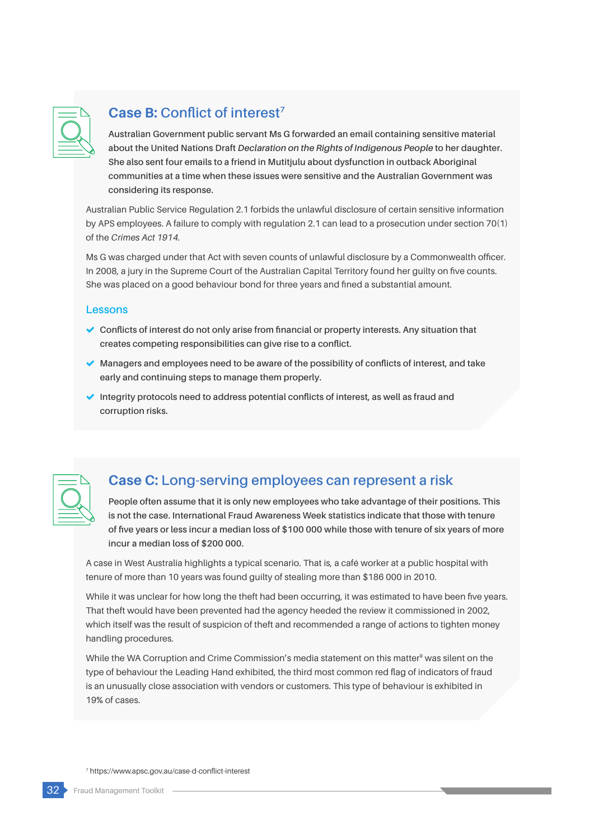

# **Case B: Conflict of interest7**

**Australian Government public servant Ms G forwarded an email containing sensitive material about the United Nations Draft** *Declaration on the Rights of Indigenous People* **to her daughter. She also sent four emails to a friend in Mutitjulu about dysfunction in outback Aboriginal communities at a time when these issues were sensitive and the Australian Government was considering its response.**

Australian Public Service Regulation 2.1 forbids the unlawful disclosure of certain sensitive information by APS employees. A failure to comply with regulation 2.1 can lead to a prosecution under section 70(1) of the *Crimes Act 1914.*

Ms G was charged under that Act with seven counts of unlawful disclosure by a Commonwealth officer. In 2008, a jury in the Supreme Court of the Australian Capital Territory found her guilty on five counts. She was placed on a good behaviour bond for three years and fined a substantial amount.

## **Lessons**

- **Conflicts of interest do not only arise from financial or property interests. Any situation that creates competing responsibilities can give rise to a conflict.**
- **Managers and employees need to be aware of the possibility of conflicts of interest, and take early and continuing steps to manage them properly.**
- **Integrity protocols need to address potential conflicts of interest, as well as fraud and corruption risks.**



## **Case C: Long-serving employees can represent a risk**

**People often assume that it is only new employees who take advantage of their positions. This is not the case. International Fraud Awareness Week statistics indicate that those with tenure of five years or less incur a median loss of \$100 000 while those with tenure of six years of more incur a median loss of \$200 000.** 

A case in West Australia highlights a typical scenario. That is, a café worker at a public hospital with tenure of more than 10 years was found guilty of stealing more than \$186 000 in 2010.

While it was unclear for how long the theft had been occurring, it was estimated to have been five years. That theft would have been prevented had the agency heeded the review it commissioned in 2002, which itself was the result of suspicion of theft and recommended a range of actions to tighten money handling procedures.

While the WA Corruption and Crime Commission's media statement on this matter<sup>9</sup> was silent on the type of behaviour the Leading Hand exhibited, the third most common red flag of indicators of fraud is an unusually close association with vendors or customers. This type of behaviour is exhibited in 19% of cases.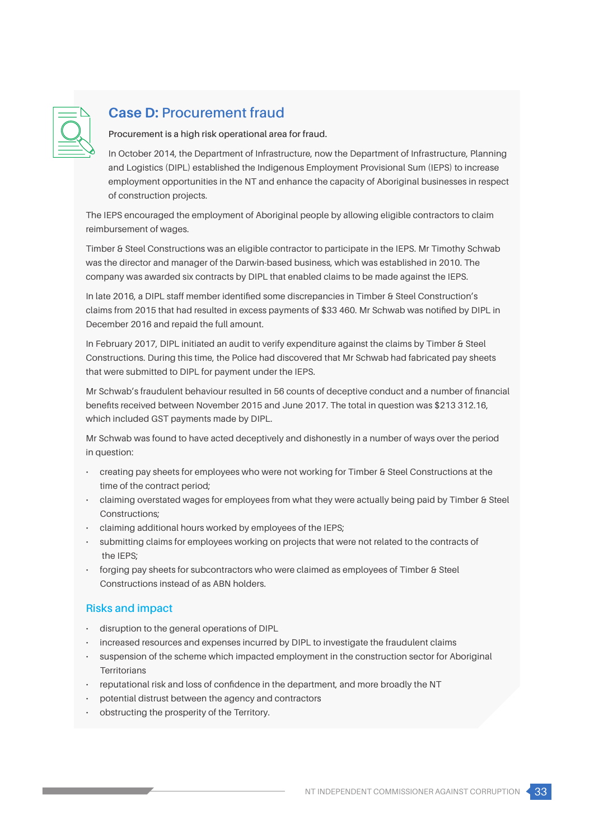

# **Case D: Procurement fraud**

**Procurement is a high risk operational area for fraud.**

In October 2014, the Department of Infrastructure, now the Department of Infrastructure, Planning and Logistics (DIPL) established the Indigenous Employment Provisional Sum (IEPS) to increase employment opportunities in the NT and enhance the capacity of Aboriginal businesses in respect of construction projects.

The IEPS encouraged the employment of Aboriginal people by allowing eligible contractors to claim reimbursement of wages.

Timber & Steel Constructions was an eligible contractor to participate in the IEPS. Mr Timothy Schwab was the director and manager of the Darwin-based business, which was established in 2010. The company was awarded six contracts by DIPL that enabled claims to be made against the IEPS.

In late 2016, a DIPL staff member identified some discrepancies in Timber & Steel Construction's claims from 2015 that had resulted in excess payments of \$33 460. Mr Schwab was notified by DIPL in December 2016 and repaid the full amount.

In February 2017, DIPL initiated an audit to verify expenditure against the claims by Timber & Steel Constructions. During this time, the Police had discovered that Mr Schwab had fabricated pay sheets that were submitted to DIPL for payment under the IEPS.

Mr Schwab's fraudulent behaviour resulted in 56 counts of deceptive conduct and a number of financial benefits received between November 2015 and June 2017. The total in question was \$213 312.16, which included GST payments made by DIPL.

Mr Schwab was found to have acted deceptively and dishonestly in a number of ways over the period in question:

- creating pay sheets for employees who were not working for Timber & Steel Constructions at the time of the contract period;
- claiming overstated wages for employees from what they were actually being paid by Timber & Steel Constructions;
- claiming additional hours worked by employees of the IEPS;
- submitting claims for employees working on projects that were not related to the contracts of the IEPS;
- forging pay sheets for subcontractors who were claimed as employees of Timber & Steel Constructions instead of as ABN holders.

## **Risks and impact**

- disruption to the general operations of DIPL
- increased resources and expenses incurred by DIPL to investigate the fraudulent claims
- suspension of the scheme which impacted employment in the construction sector for Aboriginal **Territorians**
- reputational risk and loss of confidence in the department, and more broadly the NT
- potential distrust between the agency and contractors
- obstructing the prosperity of the Territory.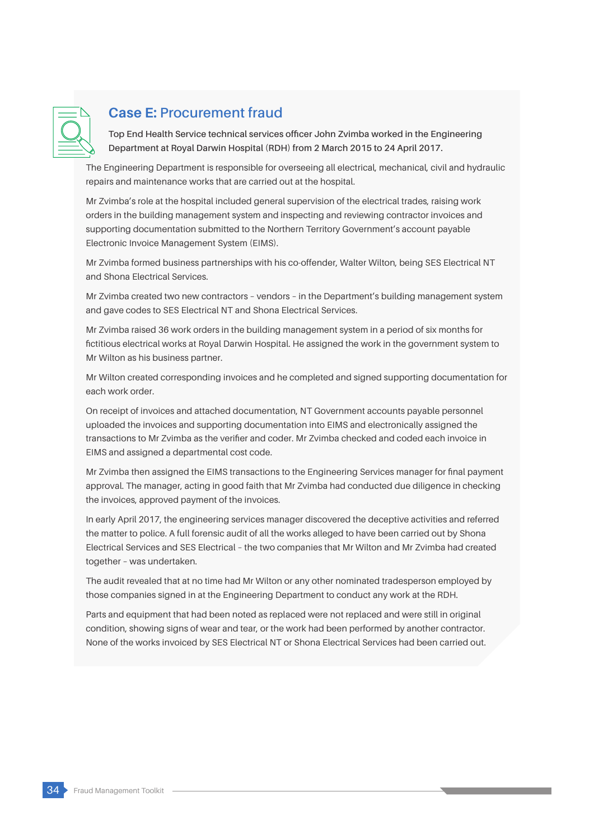

## **Case E: Procurement fraud**

**Top End Health Service technical services officer John Zvimba worked in the Engineering Department at Royal Darwin Hospital (RDH) from 2 March 2015 to 24 April 2017.** 

The Engineering Department is responsible for overseeing all electrical, mechanical, civil and hydraulic repairs and maintenance works that are carried out at the hospital.

Mr Zvimba's role at the hospital included general supervision of the electrical trades, raising work orders in the building management system and inspecting and reviewing contractor invoices and supporting documentation submitted to the Northern Territory Government's account payable Electronic Invoice Management System (EIMS).

Mr Zvimba formed business partnerships with his co-offender, Walter Wilton, being SES Electrical NT and Shona Electrical Services.

Mr Zvimba created two new contractors – vendors – in the Department's building management system and gave codes to SES Electrical NT and Shona Electrical Services.

Mr Zvimba raised 36 work orders in the building management system in a period of six months for fictitious electrical works at Royal Darwin Hospital. He assigned the work in the government system to Mr Wilton as his business partner.

Mr Wilton created corresponding invoices and he completed and signed supporting documentation for each work order.

On receipt of invoices and attached documentation, NT Government accounts payable personnel uploaded the invoices and supporting documentation into EIMS and electronically assigned the transactions to Mr Zvimba as the verifier and coder. Mr Zvimba checked and coded each invoice in EIMS and assigned a departmental cost code.

Mr Zvimba then assigned the EIMS transactions to the Engineering Services manager for final payment approval. The manager, acting in good faith that Mr Zvimba had conducted due diligence in checking the invoices, approved payment of the invoices.

In early April 2017, the engineering services manager discovered the deceptive activities and referred the matter to police. A full forensic audit of all the works alleged to have been carried out by Shona Electrical Services and SES Electrical – the two companies that Mr Wilton and Mr Zvimba had created together – was undertaken.

The audit revealed that at no time had Mr Wilton or any other nominated tradesperson employed by those companies signed in at the Engineering Department to conduct any work at the RDH.

Parts and equipment that had been noted as replaced were not replaced and were still in original condition, showing signs of wear and tear, or the work had been performed by another contractor. None of the works invoiced by SES Electrical NT or Shona Electrical Services had been carried out.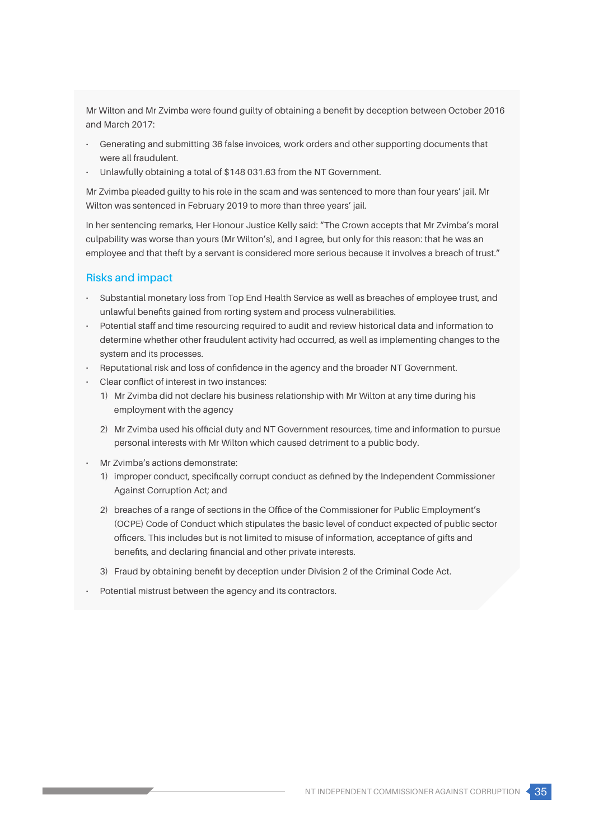Mr Wilton and Mr Zvimba were found guilty of obtaining a benefit by deception between October 2016 and March 2017:

- Generating and submitting 36 false invoices, work orders and other supporting documents that were all fraudulent.
- Unlawfully obtaining a total of \$148 031.63 from the NT Government.

Mr Zvimba pleaded guilty to his role in the scam and was sentenced to more than four years' jail. Mr Wilton was sentenced in February 2019 to more than three years' jail.

In her sentencing remarks, Her Honour Justice Kelly said: "The Crown accepts that Mr Zvimba's moral culpability was worse than yours (Mr Wilton's), and I agree, but only for this reason: that he was an employee and that theft by a servant is considered more serious because it involves a breach of trust."

## **Risks and impact**

- Substantial monetary loss from Top End Health Service as well as breaches of employee trust, and unlawful benefits gained from rorting system and process vulnerabilities.
- Potential staff and time resourcing required to audit and review historical data and information to determine whether other fraudulent activity had occurred, as well as implementing changes to the system and its processes.
- Reputational risk and loss of confidence in the agency and the broader NT Government.
- Clear conflict of interest in two instances:
	- 1) Mr Zvimba did not declare his business relationship with Mr Wilton at any time during his employment with the agency
	- 2) Mr Zvimba used his official duty and NT Government resources, time and information to pursue personal interests with Mr Wilton which caused detriment to a public body.
- Mr Zvimba's actions demonstrate:
	- 1) improper conduct, specifically corrupt conduct as defined by the Independent Commissioner Against Corruption Act; and
	- 2) breaches of a range of sections in the Office of the Commissioner for Public Employment's (OCPE) Code of Conduct which stipulates the basic level of conduct expected of public sector officers. This includes but is not limited to misuse of information, acceptance of gifts and benefits, and declaring financial and other private interests.
	- 3) Fraud by obtaining benefit by deception under Division 2 of the Criminal Code Act.
- Potential mistrust between the agency and its contractors.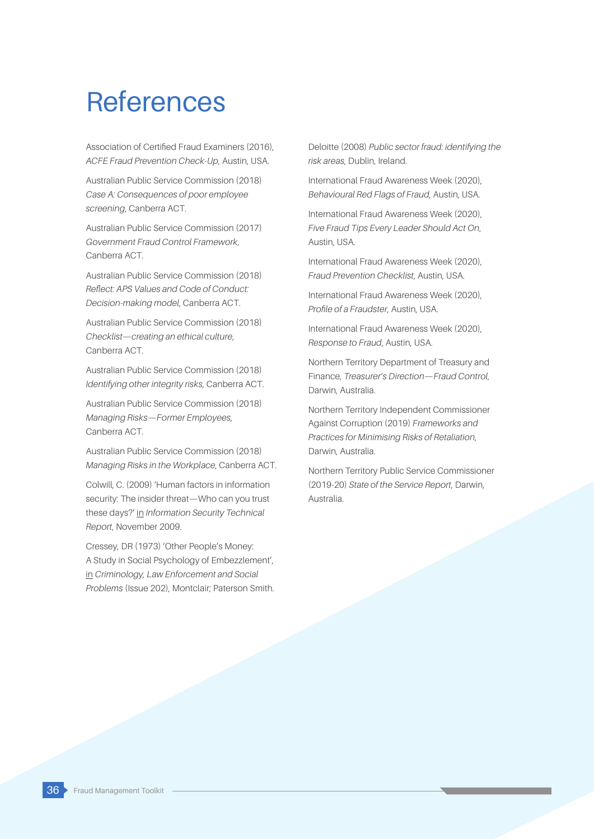# References

Association of Certified Fraud Examiners (2016), *ACFE Fraud Prevention Check-Up*, Austin, USA.

Australian Public Service Commission (2018) *Case A: Consequences of poor employee screening*, Canberra ACT.

Australian Public Service Commission (2017) *Government Fraud Control Framework*, Canberra ACT.

Australian Public Service Commission (2018) *Reflect: APS Values and Code of Conduct: Decision-making model*, Canberra ACT.

Australian Public Service Commission (2018) *Checklist—creating an ethical culture*, Canberra ACT.

Australian Public Service Commission (2018) *Identifying other integrity risks*, Canberra ACT.

Australian Public Service Commission (2018) *Managing Risks—Former Employees*, Canberra ACT.

Australian Public Service Commission (2018) *Managing Risks in the Workplace*, Canberra ACT.

Colwill, C. (2009) 'Human factors in information security: The insider threat—Who can you trust these days?' in *Information Security Technical Report*, November 2009.

Cressey, DR (1973) 'Other People's Money: A Study in Social Psychology of Embezzlement', in *Criminology, Law Enforcement and Social Problems* (Issue 202), Montclair; Paterson Smith.

Deloitte (2008) *Public sector fraud: identifying the risk areas*, Dublin, Ireland.

International Fraud Awareness Week (2020), *Behavioural Red Flags of Fraud*, Austin, USA.

International Fraud Awareness Week (2020), *Five Fraud Tips Every Leader Should Act On*, Austin, USA.

International Fraud Awareness Week (2020), *Fraud Prevention Checklist*, Austin, USA.

International Fraud Awareness Week (2020), *Profile of a Fraudster*, Austin, USA.

International Fraud Awareness Week (2020), *Response to Fraud*, Austin, USA.

Northern Territory Department of Treasury and Finance, *Treasurer's Direction—Fraud Control*, Darwin, Australia.

Northern Territory Independent Commissioner Against Corruption (2019) *Frameworks and Practices for Minimising Risks of Retaliation*, Darwin, Australia.

Northern Territory Public Service Commissioner (2019-20) *State of the Service Report*, Darwin, Australia.